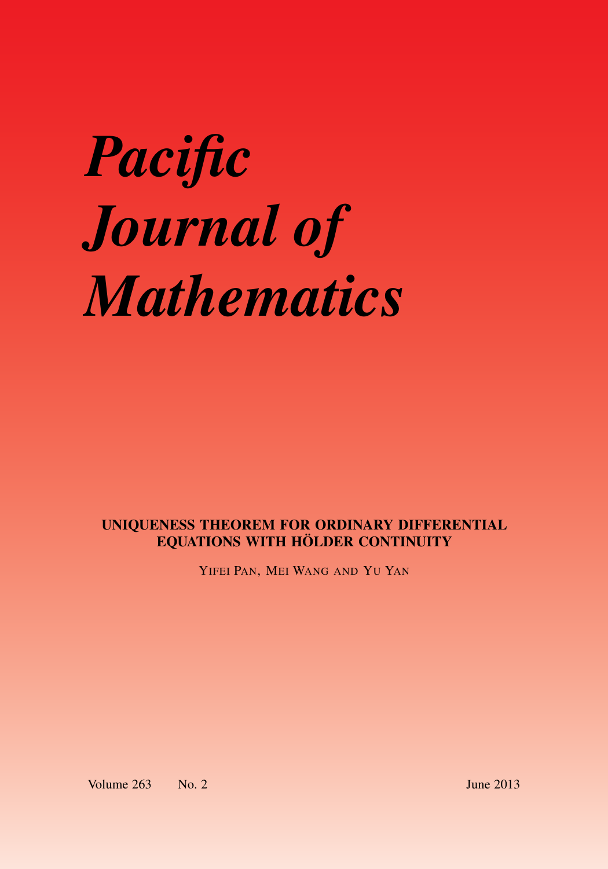# *Pacific Journal of Mathematics*

# UNIQUENESS THEOREM FOR ORDINARY DIFFERENTIAL EQUATIONS WITH HÖLDER CONTINUITY

YIFEI PAN, MEI WANG AND YU YAN

Volume 263 No. 2 June 2013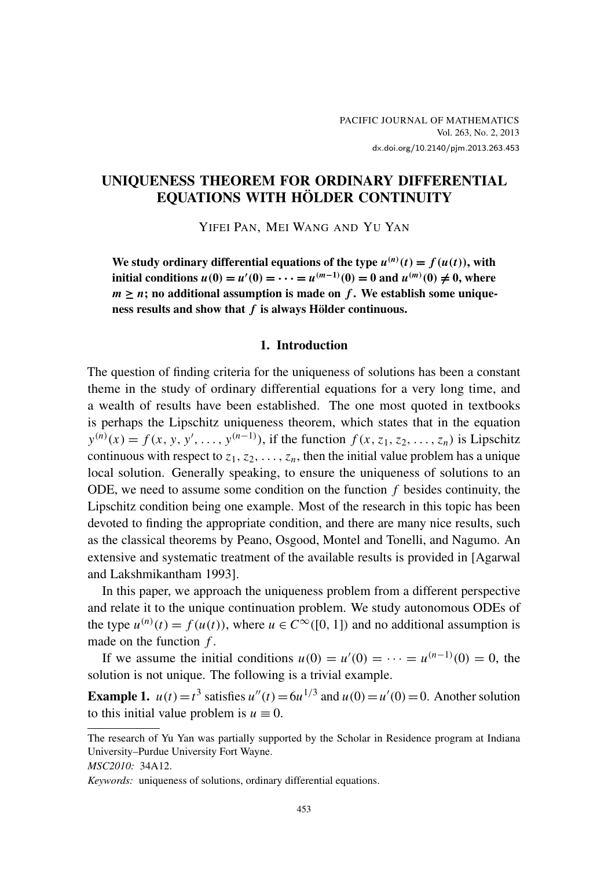### UNIQUENESS THEOREM FOR ORDINARY DIFFERENTIAL EQUATIONS WITH HÖLDER CONTINUITY

YIFEI PAN, MEI WANG AND YU YAN

We study ordinary differential equations of the type  $u^{(n)}(t) = f(u(t))$ , with initial conditions  $u(0) = u'(0) = \cdots = u^{(m-1)}(0) = 0$  and  $u^{(m)}(0) \neq 0$ , where  $m \geq n$ ; no additional assumption is made on *f*. We establish some uniqueness results and show that *f* is always Hölder continuous.

#### 1. Introduction

The question of finding criteria for the uniqueness of solutions has been a constant theme in the study of ordinary differential equations for a very long time, and a wealth of results have been established. The one most quoted in textbooks is perhaps the Lipschitz uniqueness theorem, which states that in the equation  $y^{(n)}(x) = f(x, y, y', \dots, y^{(n-1)})$ , if the function  $f(x, z_1, z_2, \dots, z_n)$  is Lipschitz continuous with respect to  $z_1, z_2, \ldots, z_n$ , then the initial value problem has a unique local solution. Generally speaking, to ensure the uniqueness of solutions to an ODE, we need to assume some condition on the function *f* besides continuity, the Lipschitz condition being one example. Most of the research in this topic has been devoted to finding the appropriate condition, and there are many nice results, such as the classical theorems by Peano, Osgood, Montel and Tonelli, and Nagumo. An extensive and systematic treatment of the available results is provided in [\[Agarwal](#page-21-0) [and Lakshmikantham 1993\]](#page-21-0).

In this paper, we approach the uniqueness problem from a different perspective and relate it to the unique continuation problem. We study autonomous ODEs of the type  $u^{(n)}(t) = f(u(t))$ , where  $u \in C^{\infty}([0, 1])$  and no additional assumption is made on the function *f* .

If we assume the initial conditions  $u(0) = u'(0) = \cdots = u^{(n-1)}(0) = 0$ , the solution is not unique. The following is a trivial example.

<span id="page-1-0"></span>**Example 1.**  $u(t) = t^3$  satisfies  $u''(t) = 6u^{1/3}$  and  $u(0) = u'(0) = 0$ . Another solution to this initial value problem is  $u \equiv 0$ .

The research of Yu Yan was partially supported by the Scholar in Residence program at Indiana University–Purdue University Fort Wayne.

*MSC2010:* 34A12.

*Keywords:* uniqueness of solutions, ordinary differential equations.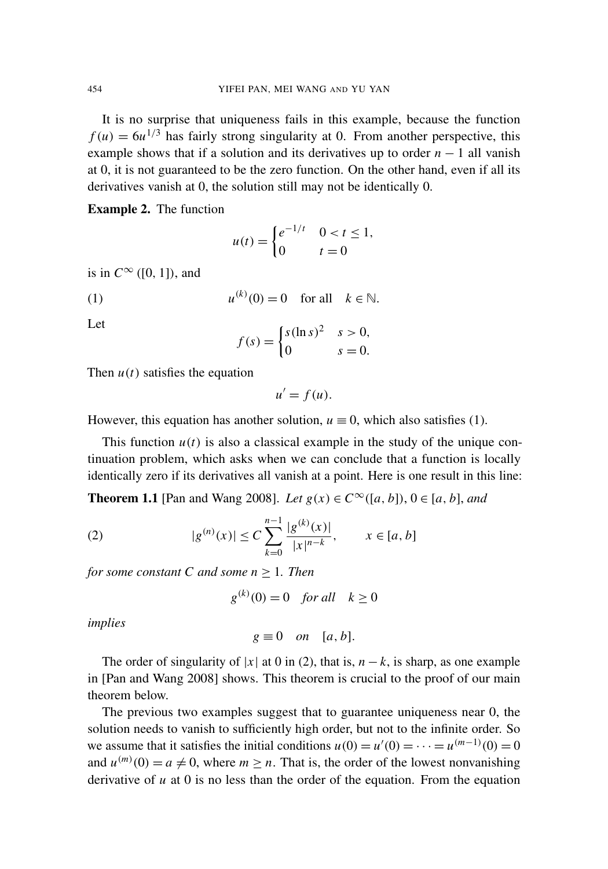It is no surprise that uniqueness fails in this example, because the function  $f(u) = 6u^{1/3}$  has fairly strong singularity at 0. From another perspective, this example shows that if a solution and its derivatives up to order  $n - 1$  all vanish at 0, it is not guaranteed to be the zero function. On the other hand, even if all its derivatives vanish at 0, the solution still may not be identically 0.

Example 2. The function

<span id="page-2-0"></span>
$$
u(t) = \begin{cases} e^{-1/t} & 0 < t \le 1, \\ 0 & t = 0 \end{cases}
$$

is in  $C^{\infty}$  ([0, 1]), and

(1) 
$$
u^{(k)}(0) = 0 \quad \text{for all} \quad k \in \mathbb{N}.
$$

Let

$$
f(s) = \begin{cases} s(\ln s)^2 & s > 0, \\ 0 & s = 0. \end{cases}
$$

Then  $u(t)$  satisfies the equation

<span id="page-2-1"></span>
$$
u'=f(u).
$$

However, this equation has another solution,  $u \equiv 0$ , which also satisfies [\(1\).](#page-2-0)

This function  $u(t)$  is also a classical example in the study of the unique continuation problem, which asks when we can conclude that a function is locally identically zero if its derivatives all vanish at a point. Here is one result in this line:

<span id="page-2-2"></span>**Theorem 1.1** [\[Pan and Wang 2008\]](#page-21-1). *Let*  $g(x) \in C^\infty([a, b])$ , 0 ∈ [*a*, *b*], *and* 

(2) 
$$
|g^{(n)}(x)| \le C \sum_{k=0}^{n-1} \frac{|g^{(k)}(x)|}{|x|^{n-k}}, \qquad x \in [a, b]
$$

*for some constant C and some n* ≥ 1*. Then*

$$
g^{(k)}(0) = 0 \quad \text{for all} \quad k \ge 0
$$

*implies*

$$
g \equiv 0 \quad on \quad [a, b].
$$

The order of singularity of  $|x|$  at 0 in [\(2\),](#page-2-1) that is,  $n - k$ , is sharp, as one example in [\[Pan and Wang 2008\]](#page-21-1) shows. This theorem is crucial to the proof of our main theorem below.

The previous two examples suggest that to guarantee uniqueness near 0, the solution needs to vanish to sufficiently high order, but not to the infinite order. So we assume that it satisfies the initial conditions  $u(0) = u'(0) = \cdots = u^{(m-1)}(0) = 0$ and  $u^{(m)}(0) = a \neq 0$ , where  $m \geq n$ . That is, the order of the lowest nonvanishing derivative of *u* at 0 is no less than the order of the equation. From the equation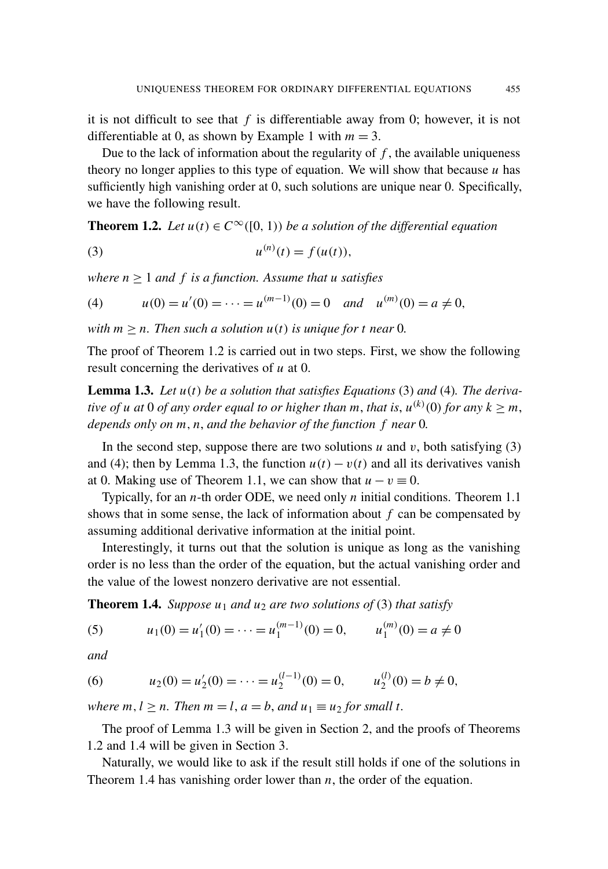it is not difficult to see that *f* is differentiable away from 0; however, it is not differentiable at 0, as shown by [Example 1](#page-1-0) with  $m = 3$ .

Due to the lack of information about the regularity of  $f$ , the available uniqueness theory no longer applies to this type of equation. We will show that because *u* has sufficiently high vanishing order at 0, such solutions are unique near 0. Specifically, we have the following result.

<span id="page-3-0"></span>**Theorem 1.2.** *Let*  $u(t) \in C^{\infty}([0, 1))$  *be a solution of the differential equation* 

<span id="page-3-2"></span><span id="page-3-1"></span>(3) 
$$
u^{(n)}(t) = f(u(t)),
$$

*where n* ≥ 1 *and f is a function. Assume that u satisfies*

(4) 
$$
u(0) = u'(0) = \cdots = u^{(m-1)}(0) = 0
$$
 and  $u^{(m)}(0) = a \neq 0$ ,

*with*  $m \geq n$ . Then such a solution  $u(t)$  is unique for t near 0.

The proof of [Theorem 1.2](#page-3-0) is carried out in two steps. First, we show the following result concerning the derivatives of *u* at 0.

<span id="page-3-3"></span>Lemma 1.3. *Let u*(*t*) *be a solution that satisfies Equations* [\(3\)](#page-3-1) *and* [\(4\)](#page-3-2)*. The derivative of u at* 0 *of any order equal to or higher than m, that is,*  $u^{(k)}(0)$  *for any*  $k \ge m$ *, depends only on m*, *n*, *and the behavior of the function f near* 0*.*

In the second step, suppose there are two solutions  $u$  and  $v$ , both satisfying [\(3\)](#page-3-1) and [\(4\);](#page-3-2) then by [Lemma 1.3,](#page-3-3) the function  $u(t) - v(t)$  and all its derivatives vanish at 0. Making use of [Theorem 1.1,](#page-2-2) we can show that  $u - v \equiv 0$ .

Typically, for an *n*-th order ODE, we need only *n* initial conditions. [Theorem 1.1](#page-2-2) shows that in some sense, the lack of information about *f* can be compensated by assuming additional derivative information at the initial point.

Interestingly, it turns out that the solution is unique as long as the vanishing order is no less than the order of the equation, but the actual vanishing order and the value of the lowest nonzero derivative are not essential.

<span id="page-3-4"></span>**Theorem 1.4.** *Suppose*  $u_1$  *and*  $u_2$  *are two solutions of* [\(3\)](#page-3-1) *that satisfy* 

(5) 
$$
u_1(0) = u'_1(0) = \dots = u_1^{(m-1)}(0) = 0, \qquad u_1^{(m)}(0) = a \neq 0
$$

*and*

(6) 
$$
u_2(0) = u'_2(0) = \dots = u_2^{(l-1)}(0) = 0, \qquad u_2^{(l)}(0) = b \neq 0,
$$

*where*  $m, l \geq n$ . Then  $m = l, a = b$ , and  $u_1 \equiv u_2$  for small t.

The proof of [Lemma 1.3](#page-3-3) will be given in [Section 2,](#page-5-0) and the proofs of Theorems [1.2](#page-3-0) and [1.4](#page-3-4) will be given in [Section 3.](#page-16-0)

Naturally, we would like to ask if the result still holds if one of the solutions in [Theorem 1.4](#page-3-4) has vanishing order lower than *n*, the order of the equation.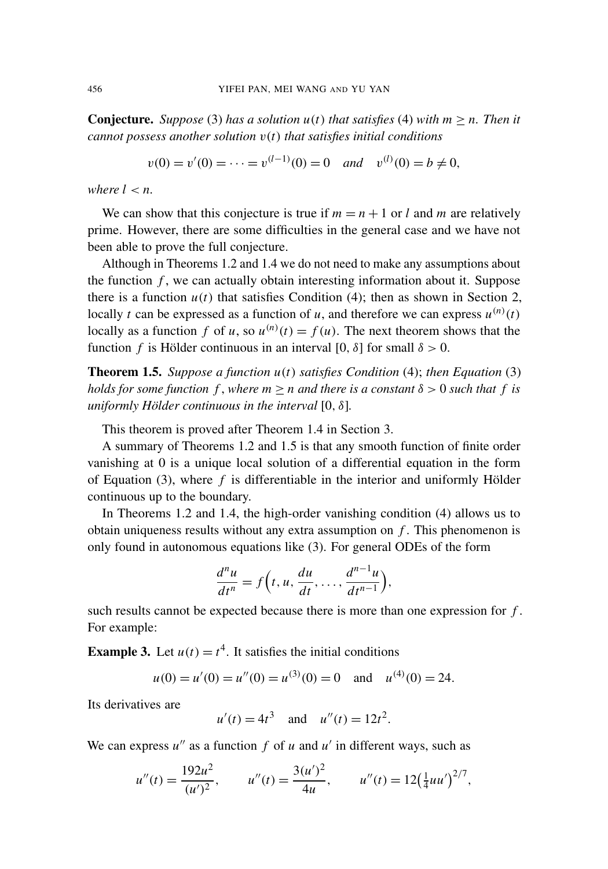**Conjecture.** *Suppose* [\(3\)](#page-3-1) *has a solution*  $u(t)$  *that satisfies* [\(4\)](#page-3-2) *with*  $m \ge n$ *. Then it cannot possess another solution* v(*t*) *that satisfies initial conditions*

$$
v(0) = v'(0) = \dots = v^{(l-1)}(0) = 0
$$
 and  $v^{(l)}(0) = b \neq 0$ ,

*where*  $l < n$ .

We can show that this conjecture is true if  $m = n + 1$  or *l* and *m* are relatively prime. However, there are some difficulties in the general case and we have not been able to prove the full conjecture.

Although in Theorems [1.2](#page-3-0) and [1.4](#page-3-4) we do not need to make any assumptions about the function *f* , we can actually obtain interesting information about it. Suppose there is a function  $u(t)$  that satisfies Condition [\(4\);](#page-3-2) then as shown in [Section 2,](#page-5-0) locally *t* can be expressed as a function of *u*, and therefore we can express  $u^{(n)}(t)$ locally as a function *f* of *u*, so  $u^{(n)}(t) = f(u)$ . The next theorem shows that the function *f* is Hölder continuous in an interval [0,  $\delta$ ] for small  $\delta > 0$ .

<span id="page-4-0"></span>Theorem 1.5. *Suppose a function u*(*t*) *satisfies Condition* [\(4\);](#page-3-2) *then [Equation](#page-3-1)* (3) *holds for some function*  $f$ , *where*  $m \ge n$  *and there is a constant*  $\delta > 0$  *such that*  $f$  *is uniformly Hölder continuous in the interval* [0, δ]*.*

This theorem is proved after [Theorem 1.4](#page-3-4) in [Section 3.](#page-16-0)

A summary of Theorems [1.2](#page-3-0) and [1.5](#page-4-0) is that any smooth function of finite order vanishing at 0 is a unique local solution of a differential equation in the form of [Equation \(3\),](#page-3-1) where *f* is differentiable in the interior and uniformly Hölder continuous up to the boundary.

In Theorems [1.2](#page-3-0) and [1.4,](#page-3-4) the high-order vanishing condition [\(4\)](#page-3-2) allows us to obtain uniqueness results without any extra assumption on *f* . This phenomenon is only found in autonomous equations like [\(3\).](#page-3-1) For general ODEs of the form

$$
\frac{d^n u}{dt^n} = f\left(t, u, \frac{du}{dt}, \dots, \frac{d^{n-1}u}{dt^{n-1}}\right),
$$

such results cannot be expected because there is more than one expression for *f* . For example:

**Example 3.** Let  $u(t) = t^4$ . It satisfies the initial conditions

$$
u(0) = u'(0) = u''(0) = u^{(3)}(0) = 0
$$
 and  $u^{(4)}(0) = 24$ .

Its derivatives are

$$
u'(t) = 4t^3
$$
 and  $u''(t) = 12t^2$ .

We can express  $u''$  as a function  $f$  of  $u$  and  $u'$  in different ways, such as

$$
u''(t) = \frac{192u^2}{(u')^2}, \qquad u''(t) = \frac{3(u')^2}{4u}, \qquad u''(t) = 12(\frac{1}{4}uu')^{2/7},
$$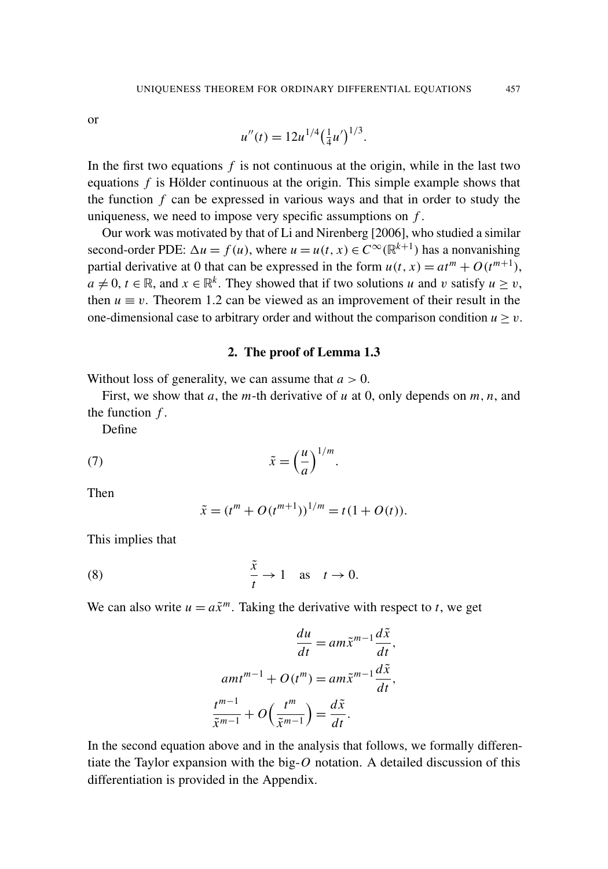or

$$
u''(t) = 12u^{1/4} \left(\frac{1}{4}u'\right)^{1/3}.
$$

In the first two equations *f* is not continuous at the origin, while in the last two equations *f* is Hölder continuous at the origin. This simple example shows that the function *f* can be expressed in various ways and that in order to study the uniqueness, we need to impose very specific assumptions on *f* .

Our work was motivated by that of Li and Nirenberg [\[2006\]](#page-21-2), who studied a similar second-order PDE:  $\Delta u = f(u)$ , where  $u = u(t, x) \in C^{\infty}(\mathbb{R}^{k+1})$  has a nonvanishing partial derivative at 0 that can be expressed in the form  $u(t, x) = at^m + O(t^{m+1})$ ,  $a \neq 0$ ,  $t \in \mathbb{R}$ , and  $x \in \mathbb{R}^k$ . They showed that if two solutions *u* and *v* satisfy  $u \geq v$ , then  $u \equiv v$ . [Theorem 1.2](#page-3-0) can be viewed as an improvement of their result in the one-dimensional case to arbitrary order and without the comparison condition  $u > v$ .

#### 2. The proof of [Lemma 1.3](#page-3-3)

<span id="page-5-0"></span>Without loss of generality, we can assume that  $a > 0$ .

First, we show that *a*, the *m*-th derivative of *u* at 0, only depends on *m*, *n*, and the function *f* .

<span id="page-5-2"></span>Define

(7) 
$$
\tilde{x} = \left(\frac{u}{a}\right)^{1/m}.
$$

Then

<span id="page-5-1"></span>
$$
\tilde{x} = (t^m + O(t^{m+1}))^{1/m} = t(1 + O(t)).
$$

This implies that

(8) 
$$
\frac{\tilde{x}}{t} \to 1 \quad \text{as} \quad t \to 0.
$$

We can also write  $u = a\tilde{x}^m$ . Taking the derivative with respect to *t*, we get

$$
\frac{du}{dt} = am\tilde{x}^{m-1}\frac{d\tilde{x}}{dt},
$$

$$
amt^{m-1} + O(t^m) = am\tilde{x}^{m-1}\frac{d\tilde{x}}{dt},
$$

$$
\frac{t^{m-1}}{\tilde{x}^{m-1}} + O\left(\frac{t^m}{\tilde{x}^{m-1}}\right) = \frac{d\tilde{x}}{dt}.
$$

In the second equation above and in the analysis that follows, we formally differentiate the Taylor expansion with the big-*O* notation. A detailed discussion of this differentiation is provided in the [Appendix.](#page-19-0)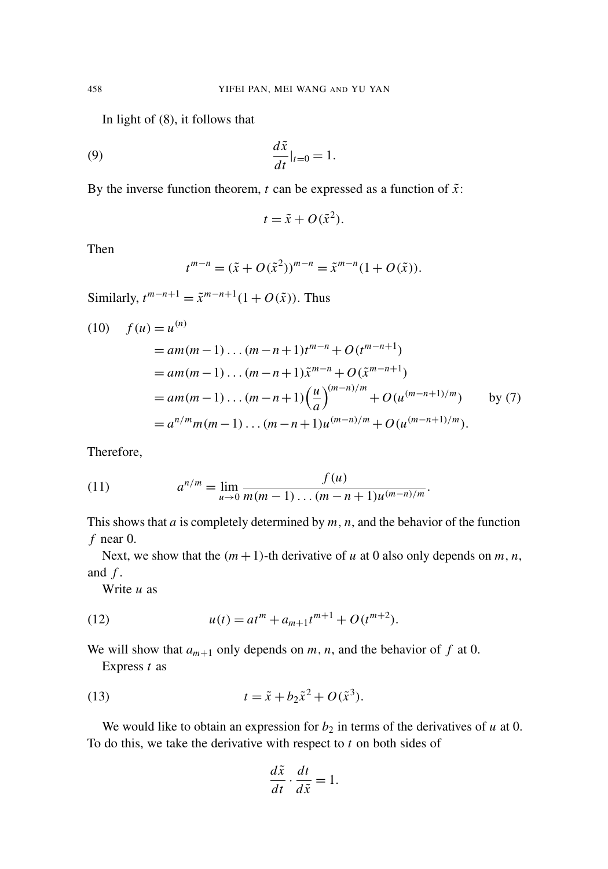In light of [\(8\),](#page-5-1) it follows that

$$
\frac{d\tilde{x}}{dt}|_{t=0} = 1.
$$

By the inverse function theorem,  $t$  can be expressed as a function of  $\tilde{x}$ :

<span id="page-6-2"></span>
$$
t = \tilde{x} + O(\tilde{x}^2).
$$

Then

$$
t^{m-n} = (\tilde{x} + O(\tilde{x}^{2}))^{m-n} = \tilde{x}^{m-n} (1 + O(\tilde{x})).
$$

Similarly,  $t^{m-n+1} = \tilde{x}^{m-n+1}(1 + O(\tilde{x}))$ . Thus

(10) 
$$
f(u) = u^{(n)}
$$
  
\n
$$
= am(m-1)...(m-n+1)t^{m-n} + O(t^{m-n+1})
$$
  
\n
$$
= am(m-1)...(m-n+1)\tilde{x}^{m-n} + O(\tilde{x}^{m-n+1})
$$
  
\n
$$
= am(m-1)...(m-n+1)\left(\frac{u}{a}\right)^{(m-n)/m} + O(u^{(m-n+1)/m}) \quad \text{by (7)}
$$
  
\n
$$
= a^{n/m}m(m-1)...(m-n+1)u^{(m-n)/m} + O(u^{(m-n+1)/m}).
$$

<span id="page-6-3"></span>Therefore,

(11) 
$$
a^{n/m} = \lim_{u \to 0} \frac{f(u)}{m(m-1)\dots(m-n+1)u^{(m-n)/m}}.
$$

This shows that *a* is completely determined by *m*, *n*, and the behavior of the function *f* near 0.

Next, we show that the  $(m + 1)$ -th derivative of *u* at 0 also only depends on *m*, *n*, and  $f$ .

<span id="page-6-1"></span>Write *u* as

(12) 
$$
u(t) = at^m + a_{m+1}t^{m+1} + O(t^{m+2}).
$$

We will show that  $a_{m+1}$  only depends on  $m, n$ , and the behavior of  $f$  at 0.

<span id="page-6-0"></span>Express *t* as

(13) 
$$
t = \tilde{x} + b_2 \tilde{x}^2 + O(\tilde{x}^3).
$$

We would like to obtain an expression for  $b_2$  in terms of the derivatives of  $u$  at 0. To do this, we take the derivative with respect to *t* on both sides of

$$
\frac{d\tilde{x}}{dt} \cdot \frac{dt}{d\tilde{x}} = 1.
$$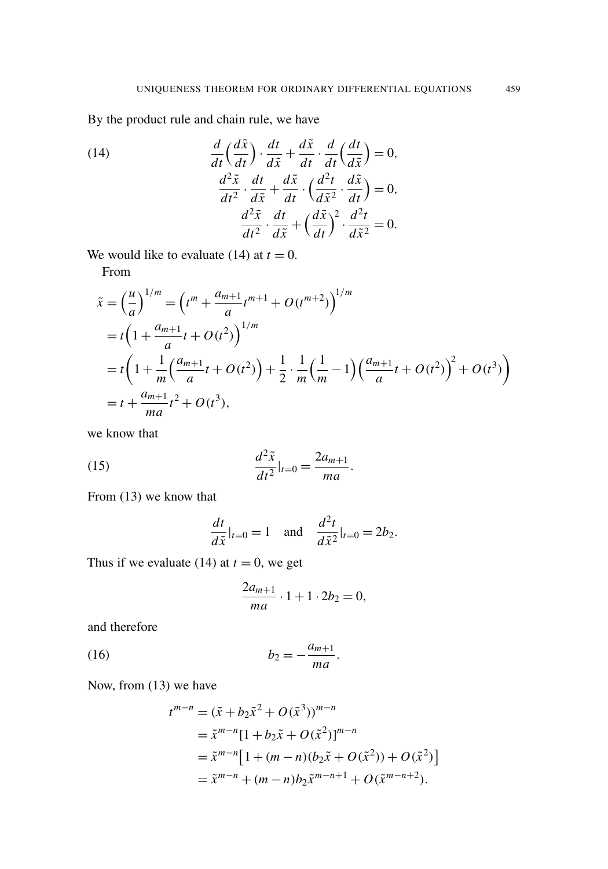<span id="page-7-0"></span>By the product rule and chain rule, we have

(14)  
\n
$$
\frac{d}{dt} \left( \frac{d\tilde{x}}{dt} \right) \cdot \frac{dt}{d\tilde{x}} + \frac{d\tilde{x}}{dt} \cdot \frac{d}{dt} \left( \frac{dt}{d\tilde{x}} \right) = 0,
$$
\n
$$
\frac{d^2 \tilde{x}}{dt^2} \cdot \frac{dt}{d\tilde{x}} + \frac{d\tilde{x}}{dt} \cdot \left( \frac{d^2 t}{d\tilde{x}^2} \cdot \frac{d\tilde{x}}{dt} \right) = 0,
$$
\n
$$
\frac{d^2 \tilde{x}}{dt^2} \cdot \frac{dt}{d\tilde{x}} + \left( \frac{d\tilde{x}}{dt} \right)^2 \cdot \frac{d^2 t}{d\tilde{x}^2} = 0.
$$

We would like to evaluate [\(14\)](#page-7-0) at  $t = 0$ .

From

$$
\tilde{x} = \left(\frac{u}{a}\right)^{1/m} = \left(t^m + \frac{a_{m+1}}{a}t^{m+1} + O(t^{m+2})\right)^{1/m}
$$
  
=  $t\left(1 + \frac{a_{m+1}}{a}t + O(t^2)\right)^{1/m}$   
=  $t\left(1 + \frac{1}{m}\left(\frac{a_{m+1}}{a}t + O(t^2)\right) + \frac{1}{2} \cdot \frac{1}{m}\left(\frac{1}{m} - 1\right)\left(\frac{a_{m+1}}{a}t + O(t^2)\right)^2 + O(t^3)\right)$   
=  $t + \frac{a_{m+1}}{ma}t^2 + O(t^3),$ 

we know that

(15) 
$$
\frac{d^2 \tilde{x}}{dt^2}|_{t=0} = \frac{2a_{m+1}}{ma}.
$$

From [\(13\)](#page-6-0) we know that

$$
\frac{dt}{d\tilde{x}}|_{t=0} = 1 \quad \text{and} \quad \frac{d^2t}{d\tilde{x}^2}|_{t=0} = 2b_2.
$$

Thus if we evaluate [\(14\)](#page-7-0) at  $t = 0$ , we get

$$
\frac{2a_{m+1}}{ma} \cdot 1 + 1 \cdot 2b_2 = 0,
$$

<span id="page-7-1"></span>and therefore

$$
(16) \t\t b_2 = -\frac{a_{m+1}}{ma}.
$$

Now, from [\(13\)](#page-6-0) we have

$$
t^{m-n} = (\tilde{x} + b_2 \tilde{x}^2 + O(\tilde{x}^3))^{m-n}
$$
  
=  $\tilde{x}^{m-n} [1 + b_2 \tilde{x} + O(\tilde{x}^2)]^{m-n}$   
=  $\tilde{x}^{m-n} [1 + (m-n)(b_2 \tilde{x} + O(\tilde{x}^2)) + O(\tilde{x}^2)]$   
=  $\tilde{x}^{m-n} + (m-n)b_2 \tilde{x}^{m-n+1} + O(\tilde{x}^{m-n+2}).$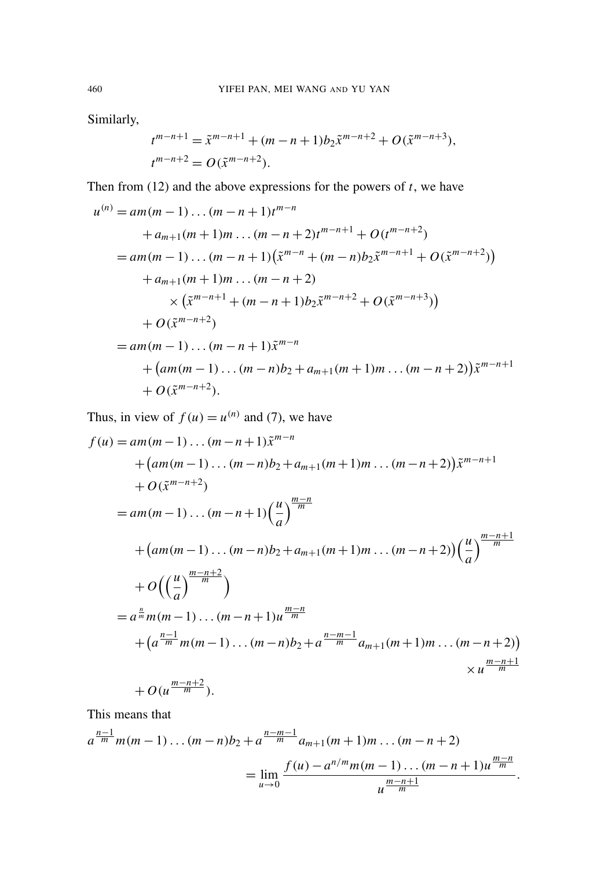Similarly,

$$
t^{m-n+1} = \tilde{x}^{m-n+1} + (m-n+1)b_2 \tilde{x}^{m-n+2} + O(\tilde{x}^{m-n+3}),
$$
  

$$
t^{m-n+2} = O(\tilde{x}^{m-n+2}).
$$

Then from  $(12)$  and the above expressions for the powers of *t*, we have

$$
u^{(n)} = am(m-1)...(m-n+1)t^{m-n}
$$
  
+ $a_{m+1}(m+1)m...(m-n+2)t^{m-n+1} + O(t^{m-n+2})$   
= $am(m-1)...(m-n+1)(\tilde{x}^{m-n} + (m-n)b_{2}\tilde{x}^{m-n+1} + O(\tilde{x}^{m-n+2}))$   
+ $a_{m+1}(m+1)m...(m-n+2)$   
 $\times (\tilde{x}^{m-n+1} + (m-n+1)b_{2}\tilde{x}^{m-n+2} + O(\tilde{x}^{m-n+3}))$   
+ $O(\tilde{x}^{m-n+2})$   
= $am(m-1)...(m-n+1)\tilde{x}^{m-n}$   
+ $(am(m-1)...(m-n)b_{2} + a_{m+1}(m+1)m...(m-n+2))\tilde{x}^{m-n+1}$   
+ $O(\tilde{x}^{m-n+2}).$ 

Thus, in view of  $f(u) = u^{(n)}$  and [\(7\),](#page-5-2) we have

$$
f(u) = am(m-1)...(m-n+1)\tilde{x}^{m-n}
$$
  
+  $(am(m-1)...(m-n)b_2 + a_{m+1}(m+1)m)...(m-n+2))\tilde{x}^{m-n+1}$   
+  $O(\tilde{x}^{m-n+2})$   
=  $am(m-1)...(m-n+1)\left(\frac{u}{a}\right)^{\frac{m-n}{m}}$   
+  $\left(am(m-1)...(m-n)b_2 + a_{m+1}(m+1)m...(m-n+2)\right)\left(\frac{u}{a}\right)^{\frac{m-n+1}{m}}$   
+  $O\left(\left(\frac{u}{a}\right)^{\frac{m-n+2}{m}}$   
=  $a^{\frac{n}{m}}m(m-1)...(m-n+1)u^{\frac{m-n}{m}}$   
+  $\left(a^{\frac{n-1}{m}}m(m-1)...(m-n)b_2 + a^{\frac{n-m-1}{m}}a_{m+1}(m+1)m...(m-n+2)\right)$   
+  $O(u^{\frac{m-n+2}{m}}).$ 

This means that

$$
a^{\frac{n-1}{m}}m(m-1)\dots(m-n)b_2 + a^{\frac{n-m-1}{m}}a_{m+1}(m+1)m\dots(m-n+2)
$$
  
= 
$$
\lim_{u\to 0}\frac{f(u)-a^{n/m}m(m-1)\dots(m-n+1)u^{\frac{m-n}{m}}}{u^{\frac{m-n+1}{m}}}.
$$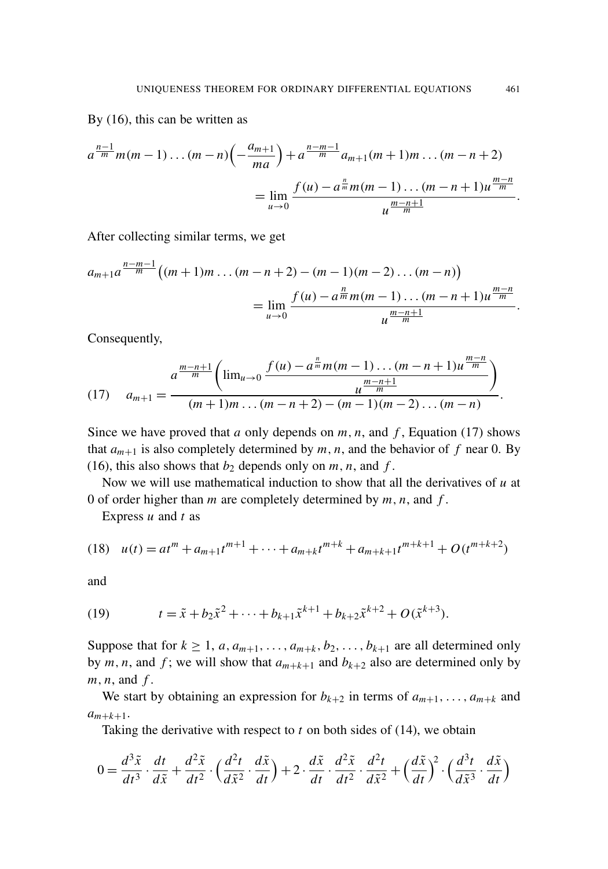By [\(16\),](#page-7-1) this can be written as

$$
a^{\frac{n-1}{m}}m(m-1)\dots(m-n)\left(-\frac{a_{m+1}}{ma}\right) + a^{\frac{n-m-1}{m}}a_{m+1}(m+1)m\dots(m-n+2)
$$
  
= 
$$
\lim_{u\to 0}\frac{f(u)-a^{\frac{n}{m}}m(m-1)\dots(m-n+1)u^{\frac{m-n}{m}}}{u^{\frac{m-n+1}{m}}}.
$$

After collecting similar terms, we get

$$
a_{m+1}a^{\frac{n-m-1}{m}}\left((m+1)m\ldots(m-n+2)-(m-1)(m-2)\ldots(m-n)\right)
$$
  
= 
$$
\lim_{u\to 0}\frac{f(u)-a^{\frac{n}{m}}m(m-1)\ldots(m-n+1)u^{\frac{m-n}{m}}}{u^{\frac{m-n+1}{m}}}.
$$

<span id="page-9-0"></span>Consequently,

(17) 
$$
a_{m+1} = \frac{a^{\frac{m-n+1}{m}} \left( \lim_{u \to 0} \frac{f(u) - a^{\frac{n}{m}} m(m-1) \dots (m-n+1) u^{\frac{m-n}{m}}}{u^{\frac{m-n+1}{m}}} \right)}{(m+1)m \dots (m-n+2) - (m-1)(m-2) \dots (m-n)}.
$$

Since we have proved that *a* only depends on  $m$ ,  $n$ , and  $f$ , [Equation \(17\)](#page-9-0) shows that  $a_{m+1}$  is also completely determined by  $m, n$ , and the behavior of  $f$  near 0. By [\(16\),](#page-7-1) this also shows that  $b_2$  depends only on  $m, n$ , and  $f$ .

Now we will use mathematical induction to show that all the derivatives of *u* at 0 of order higher than *m* are completely determined by *m*, *n*, and *f* .

<span id="page-9-2"></span>Express *u* and *t* as

$$
(18) \quad u(t) = at^m + a_{m+1}t^{m+1} + \dots + a_{m+k}t^{m+k} + a_{m+k+1}t^{m+k+1} + O(t^{m+k+2})
$$

<span id="page-9-1"></span>and

(19) 
$$
t = \tilde{x} + b_2 \tilde{x}^2 + \dots + b_{k+1} \tilde{x}^{k+1} + b_{k+2} \tilde{x}^{k+2} + O(\tilde{x}^{k+3}).
$$

Suppose that for  $k \ge 1$ ,  $a, a_{m+1}, \ldots, a_{m+k}, b_2, \ldots, b_{k+1}$  are all determined only by *m*, *n*, and *f*; we will show that  $a_{m+k+1}$  and  $b_{k+2}$  also are determined only by *m*, *n*, and *f* .

We start by obtaining an expression for  $b_{k+2}$  in terms of  $a_{m+1}, \ldots, a_{m+k}$  and  $a_{m+k+1}$ .

Taking the derivative with respect to  $t$  on both sides of  $(14)$ , we obtain

$$
0 = \frac{d^3\tilde{x}}{dt^3} \cdot \frac{dt}{d\tilde{x}} + \frac{d^2\tilde{x}}{dt^2} \cdot \left(\frac{d^2t}{d\tilde{x}^2} \cdot \frac{d\tilde{x}}{dt}\right) + 2 \cdot \frac{d\tilde{x}}{dt} \cdot \frac{d^2\tilde{x}}{dt^2} \cdot \frac{d^2t}{d\tilde{x}^2} + \left(\frac{d\tilde{x}}{dt}\right)^2 \cdot \left(\frac{d^3t}{d\tilde{x}^3} \cdot \frac{d\tilde{x}}{dt}\right)
$$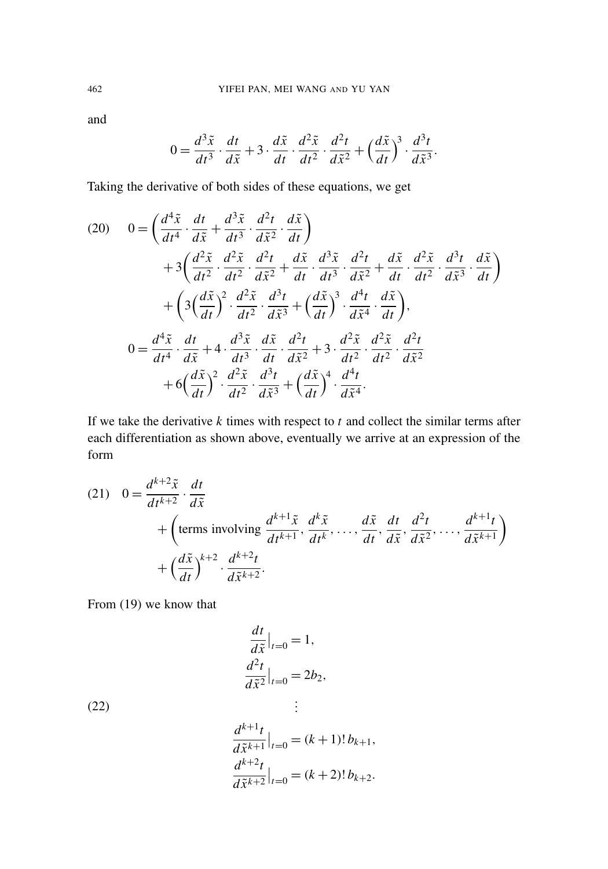and

$$
0 = \frac{d^3 \tilde{x}}{dt^3} \cdot \frac{dt}{d\tilde{x}} + 3 \cdot \frac{d\tilde{x}}{dt} \cdot \frac{d^2 \tilde{x}}{dt^2} \cdot \frac{d^2 t}{d\tilde{x}^2} + \left(\frac{d\tilde{x}}{dt}\right)^3 \cdot \frac{d^3 t}{d\tilde{x}^3}.
$$

Taking the derivative of both sides of these equations, we get

(20) 
$$
0 = \left(\frac{d^4\tilde{x}}{dt^4} \cdot \frac{dt}{d\tilde{x}} + \frac{d^3\tilde{x}}{dt^3} \cdot \frac{d^2t}{d\tilde{x}^2} \cdot \frac{d\tilde{x}}{dt}\right) + 3\left(\frac{d^2\tilde{x}}{dt^2} \cdot \frac{d^2\tilde{x}}{dt^2} \cdot \frac{d^2t}{d\tilde{x}^2} + \frac{d\tilde{x}}{dt} \cdot \frac{d^3\tilde{x}}{dt^3} \cdot \frac{d^2t}{d\tilde{x}^2} + \frac{d\tilde{x}}{dt} \cdot \frac{d^2\tilde{x}}{dt^2} \cdot \frac{d^3t}{d\tilde{x}^3} \cdot \frac{d\tilde{x}}{dt}\right) + \left(3\left(\frac{d\tilde{x}}{dt}\right)^2 \cdot \frac{d^2\tilde{x}}{dt^2} \cdot \frac{d^3t}{d\tilde{x}^3} + \left(\frac{d\tilde{x}}{dt}\right)^3 \cdot \frac{d^4t}{d\tilde{x}^4} \cdot \frac{d\tilde{x}}{dt}\right), 0 = \frac{d^4\tilde{x}}{dt^4} \cdot \frac{dt}{d\tilde{x}} + 4 \cdot \frac{d^3\tilde{x}}{dt^3} \cdot \frac{d\tilde{x}}{dt} \cdot \frac{d^2t}{d\tilde{x}^2} + 3 \cdot \frac{d^2\tilde{x}}{dt^2} \cdot \frac{d^2\tilde{x}}{dt^2} \cdot \frac{d^2t}{d\tilde{x}^2} + 6\left(\frac{d\tilde{x}}{dt}\right)^2 \cdot \frac{d^2\tilde{x}}{dt^2} \cdot \frac{d^3t}{d\tilde{x}^3} + \left(\frac{d\tilde{x}}{dt}\right)^4 \cdot \frac{d^4t}{d\tilde{x}^4}.
$$

<span id="page-10-0"></span>If we take the derivative *k* times with respect to *t* and collect the similar terms after each differentiation as shown above, eventually we arrive at an expression of the form

(21) 
$$
0 = \frac{d^{k+2}\tilde{x}}{dt^{k+2}} \cdot \frac{dt}{d\tilde{x}} + \left(\text{terms involving } \frac{d^{k+1}\tilde{x}}{dt^{k+1}}, \frac{d^k\tilde{x}}{dt^k}, \dots, \frac{d\tilde{x}}{dt}, \frac{dt}{d\tilde{x}}, \frac{d^2t}{d\tilde{x}^2}, \dots, \frac{d^{k+1}t}{d\tilde{x}^{k+1}}\right) + \left(\frac{d\tilde{x}}{dt}\right)^{k+2} \cdot \frac{d^{k+2}t}{d\tilde{x}^{k+2}}.
$$

From [\(19\)](#page-9-1) we know that

<span id="page-10-1"></span>
$$
\frac{dt}{d\tilde{x}}\Big|_{t=0} = 1,
$$
  

$$
\frac{d^2t}{d\tilde{x}^2}\Big|_{t=0} = 2b_2,
$$
  

$$
\vdots
$$

(22)

$$
\frac{d^{k+1}t}{d\tilde{x}^{k+1}}\Big|_{t=0} = (k+1)! b_{k+1},
$$
  

$$
\frac{d^{k+2}t}{d\tilde{x}^{k+2}}\Big|_{t=0} = (k+2)! b_{k+2}.
$$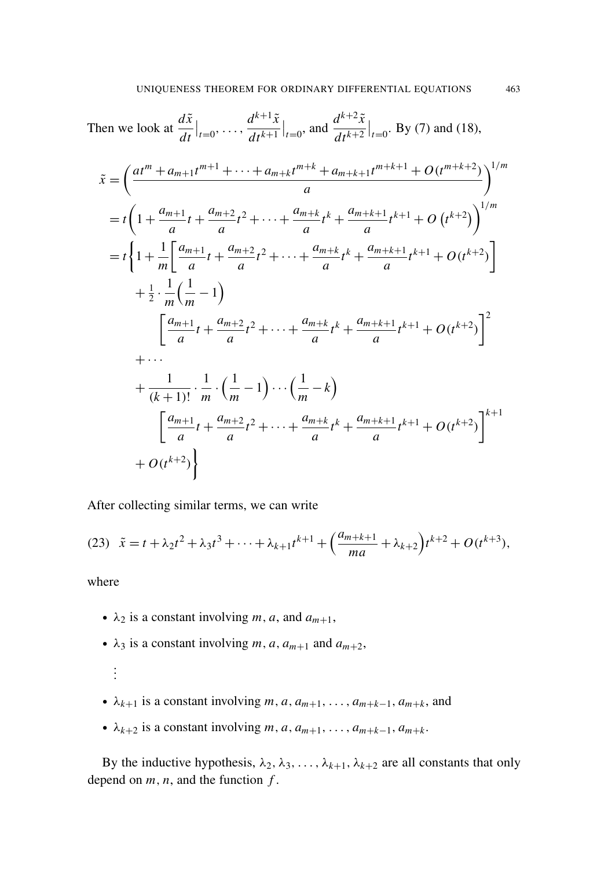Then we look at 
$$
\frac{d\tilde{x}}{dt}\Big|_{t=0}
$$
, ...,  $\frac{d^{k+1}\tilde{x}}{dt^{k+1}}\Big|_{t=0}$ , and  $\frac{d^{k+2}\tilde{x}}{dt^{k+2}}\Big|_{t=0}$ . By (7) and (18),

$$
\tilde{x} = \left(\frac{at^{m} + a_{m+1}t^{m+1} + \dots + a_{m+k}t^{m+k} + a_{m+k+1}t^{m+k+1} + O(t^{m+k+2})}{a}\right)^{1/m}
$$
\n
$$
= t\left(1 + \frac{a_{m+1}}{a}t + \frac{a_{m+2}}{a}t^{2} + \dots + \frac{a_{m+k}}{a}t^{k} + \frac{a_{m+k+1}}{a}t^{k+1} + O(t^{k+2})\right)^{1/m}
$$
\n
$$
= t\left\{1 + \frac{1}{m}\left[\frac{a_{m+1}}{a}t + \frac{a_{m+2}}{a}t^{2} + \dots + \frac{a_{m+k}}{a}t^{k} + \frac{a_{m+k+1}}{a}t^{k+1} + O(t^{k+2})\right] + \frac{1}{2} \cdot \frac{1}{m}\left(\frac{1}{m} - 1\right)\right\}
$$
\n
$$
\left[\frac{a_{m+1}}{a}t + \frac{a_{m+2}}{a}t^{2} + \dots + \frac{a_{m+k}}{a}t^{k} + \frac{a_{m+k+1}}{a}t^{k+1} + O(t^{k+2})\right]^{2}
$$
\n
$$
+ \dots
$$
\n
$$
+ \frac{1}{(k+1)!} \cdot \frac{1}{m} \cdot \left(\frac{1}{m} - 1\right) \cdots \left(\frac{1}{m} - k\right)
$$
\n
$$
\left[\frac{a_{m+1}}{a}t + \frac{a_{m+2}}{a}t^{2} + \dots + \frac{a_{m+k}}{a}t^{k} + \frac{a_{m+k+1}}{a}t^{k+1} + O(t^{k+2})\right]^{k+1}
$$
\n
$$
+ O(t^{k+2})\right\}
$$

<span id="page-11-0"></span>After collecting similar terms, we can write

(23) 
$$
\tilde{x} = t + \lambda_2 t^2 + \lambda_3 t^3 + \dots + \lambda_{k+1} t^{k+1} + \left(\frac{a_{m+k+1}}{ma} + \lambda_{k+2}\right) t^{k+2} + O(t^{k+3}),
$$

where

. . .

- $\lambda_2$  is a constant involving *m*, *a*, and  $a_{m+1}$ ,
- $\lambda_3$  is a constant involving *m*, *a*,  $a_{m+1}$  and  $a_{m+2}$ ,
- $\lambda_{k+1}$  is a constant involving *m*, *a*,  $a_{m+1}$ , ...,  $a_{m+k-1}$ ,  $a_{m+k}$ , and
- $\bullet$   $\lambda_{k+2}$  is a constant involving *m*, *a*, *a*<sub>*m*+1</sub>, . . . . *, a*<sub>*m*+*k*-1</sub>, *a*<sub>*m*+*k*</sub>.

By the inductive hypothesis,  $\lambda_2, \lambda_3, \ldots, \lambda_{k+1}, \lambda_{k+2}$  are all constants that only depend on  $m$ ,  $n$ , and the function  $f$ .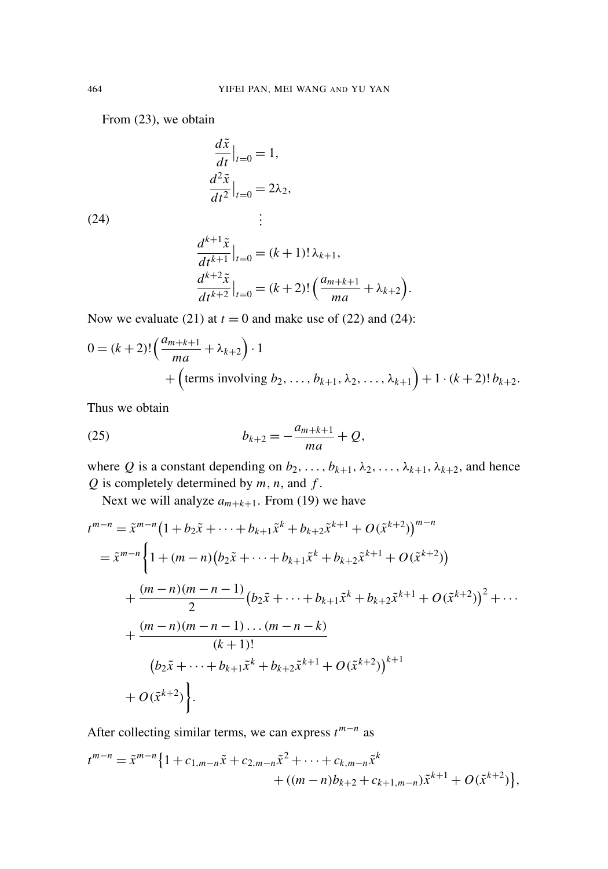From [\(23\),](#page-11-0) we obtain

<span id="page-12-0"></span>
$$
\frac{d\tilde{x}}{dt}\Big|_{t=0} = 1,
$$
  

$$
\frac{d^2\tilde{x}}{dt^2}\Big|_{t=0} = 2\lambda_2,
$$
  

$$
\vdots
$$

(24)

$$
\frac{d^{k+1}\tilde{x}}{dt^{k+1}}|_{t=0} = (k+1)!\lambda_{k+1},
$$
  

$$
\frac{d^{k+2}\tilde{x}}{dt^{k+2}}|_{t=0} = (k+2)!\left(\frac{a_{m+k+1}}{ma} + \lambda_{k+2}\right).
$$

Now we evaluate [\(21\)](#page-10-0) at  $t = 0$  and make use of [\(22\)](#page-10-1) and [\(24\):](#page-12-0)

$$
0 = (k+2)! \left( \frac{a_{m+k+1}}{ma} + \lambda_{k+2} \right) \cdot 1 + \left( \text{terms involving } b_2, \dots, b_{k+1}, \lambda_2, \dots, \lambda_{k+1} \right) + 1 \cdot (k+2)! b_{k+2}.
$$

<span id="page-12-1"></span>Thus we obtain

(25) 
$$
b_{k+2} = -\frac{a_{m+k+1}}{ma} + Q,
$$

where *Q* is a constant depending on  $b_2, \ldots, b_{k+1}, \lambda_2, \ldots, \lambda_{k+1}, \lambda_{k+2}$ , and hence *Q* is completely determined by *m*, *n*, and *f* .

Next we will analyze  $a_{m+k+1}$ . From [\(19\)](#page-9-1) we have

$$
t^{m-n} = \tilde{x}^{m-n} \Big( 1 + b_2 \tilde{x} + \dots + b_{k+1} \tilde{x}^k + b_{k+2} \tilde{x}^{k+1} + O(\tilde{x}^{k+2}) \Big)^{m-n}
$$
  
=  $\tilde{x}^{m-n} \Big\{ 1 + (m-n) (b_2 \tilde{x} + \dots + b_{k+1} \tilde{x}^k + b_{k+2} \tilde{x}^{k+1} + O(\tilde{x}^{k+2}))$   
+  $\frac{(m-n)(m-n-1)}{2} (b_2 \tilde{x} + \dots + b_{k+1} \tilde{x}^k + b_{k+2} \tilde{x}^{k+1} + O(\tilde{x}^{k+2}))^2 + \dots$   
+  $\frac{(m-n)(m-n-1)\dots(m-n-k)}{(k+1)!}$   
 $(b_2 \tilde{x} + \dots + b_{k+1} \tilde{x}^k + b_{k+2} \tilde{x}^{k+1} + O(\tilde{x}^{k+2}))^{k+1}$   
+  $O(\tilde{x}^{k+2}) \Big\}.$ 

After collecting similar terms, we can express *t m*−*n* as

$$
t^{m-n} = \tilde{x}^{m-n} \{ 1 + c_{1,m-n} \tilde{x} + c_{2,m-n} \tilde{x}^2 + \dots + c_{k,m-n} \tilde{x}^k + ((m-n)b_{k+2} + c_{k+1,m-n}) \tilde{x}^{k+1} + O(\tilde{x}^{k+2}) \},
$$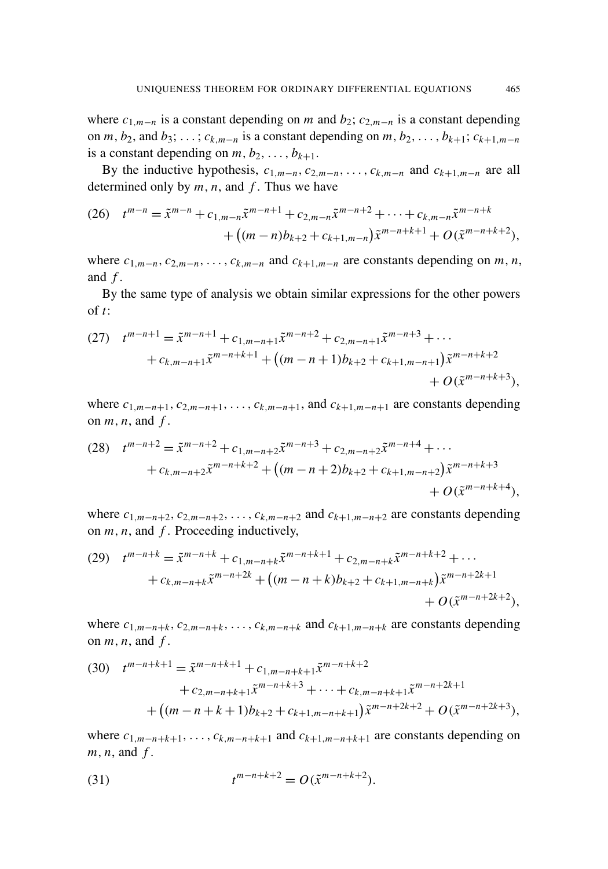where  $c_{1,m-n}$  is a constant depending on *m* and  $b_2$ ;  $c_{2,m-n}$  is a constant depending on  $m, b_2$ , and  $b_3$ ;  $\dots$ ;  $c_{k,m-n}$  is a constant depending on  $m, b_2, \dots, b_{k+1}$ ;  $c_{k+1,m-n}$ is a constant depending on  $m, b_2, \ldots, b_{k+1}$ .

<span id="page-13-0"></span>By the inductive hypothesis,  $c_{1,m-n}, c_{2,m-n}, \ldots, c_{k,m-n}$  and  $c_{k+1,m-n}$  are all determined only by *m*, *n*, and *f* . Thus we have

(26) 
$$
t^{m-n} = \tilde{x}^{m-n} + c_{1,m-n}\tilde{x}^{m-n+1} + c_{2,m-n}\tilde{x}^{m-n+2} + \cdots + c_{k,m-n}\tilde{x}^{m-n+k} + ((m-n)b_{k+2} + c_{k+1,m-n})\tilde{x}^{m-n+k+1} + O(\tilde{x}^{m-n+k+2}),
$$

where  $c_{1,m-n}, c_{2,m-n}, \ldots, c_{k,m-n}$  and  $c_{k+1,m-n}$  are constants depending on *m*, *n*, and *f* .

By the same type of analysis we obtain similar expressions for the other powers of *t*:

(27) 
$$
t^{m-n+1} = \tilde{x}^{m-n+1} + c_{1,m-n+1}\tilde{x}^{m-n+2} + c_{2,m-n+1}\tilde{x}^{m-n+3} + \cdots + c_{k,m-n+1}\tilde{x}^{m-n+k+1} + ((m-n+1)b_{k+2} + c_{k+1,m-n+1})\tilde{x}^{m-n+k+2} + O(\tilde{x}^{m-n+k+3}),
$$

where  $c_{1,m-n+1}, c_{2,m-n+1}, \ldots, c_{k,m-n+1}$ , and  $c_{k+1,m-n+1}$  are constants depending on  $m, n$ , and  $f$ .

$$
(28) \t t^{m-n+2} = \tilde{x}^{m-n+2} + c_{1,m-n+2}\tilde{x}^{m-n+3} + c_{2,m-n+2}\tilde{x}^{m-n+4} + \cdots + c_{k,m-n+2}\tilde{x}^{m-n+k+2} + ((m-n+2)b_{k+2} + c_{k+1,m-n+2})\tilde{x}^{m-n+k+3} + O(\tilde{x}^{m-n+k+4}),
$$

where  $c_{1,m-n+2}, c_{2,m-n+2}, \ldots, c_{k,m-n+2}$  and  $c_{k+1,m-n+2}$  are constants depending on *m*, *n*, and *f* . Proceeding inductively,

(29) 
$$
t^{m-n+k} = \tilde{x}^{m-n+k} + c_{1,m-n+k}\tilde{x}^{m-n+k+1} + c_{2,m-n+k}\tilde{x}^{m-n+k+2} + \cdots + c_{k,m-n+k}\tilde{x}^{m-n+2k} + ((m-n+k)b_{k+2} + c_{k+1,m-n+k})\tilde{x}^{m-n+2k+1} + O(\tilde{x}^{m-n+2k+2}),
$$

where  $c_{1,m-n+k}$ ,  $c_{2,m-n+k}$ , ...,  $c_{k,m-n+k}$  and  $c_{k+1,m-n+k}$  are constants depending on  $m, n$ , and  $f$ .

(30) 
$$
t^{m-n+k+1} = \tilde{x}^{m-n+k+1} + c_{1,m-n+k+1}\tilde{x}^{m-n+k+2} + c_{2,m-n+k+1}\tilde{x}^{m-n+k+3} + \cdots + c_{k,m-n+k+1}\tilde{x}^{m-n+2k+1} + ((m-n+k+1)b_{k+2} + c_{k+1,m-n+k+1})\tilde{x}^{m-n+2k+2} + O(\tilde{x}^{m-n+2k+3}),
$$

<span id="page-13-1"></span>where  $c_{1,m-n+k+1}, \ldots, c_{k,m-n+k+1}$  and  $c_{k+1,m-n+k+1}$  are constants depending on *m*, *n*, and *f* .

(31) 
$$
t^{m-n+k+2} = O(\tilde{x}^{m-n+k+2}).
$$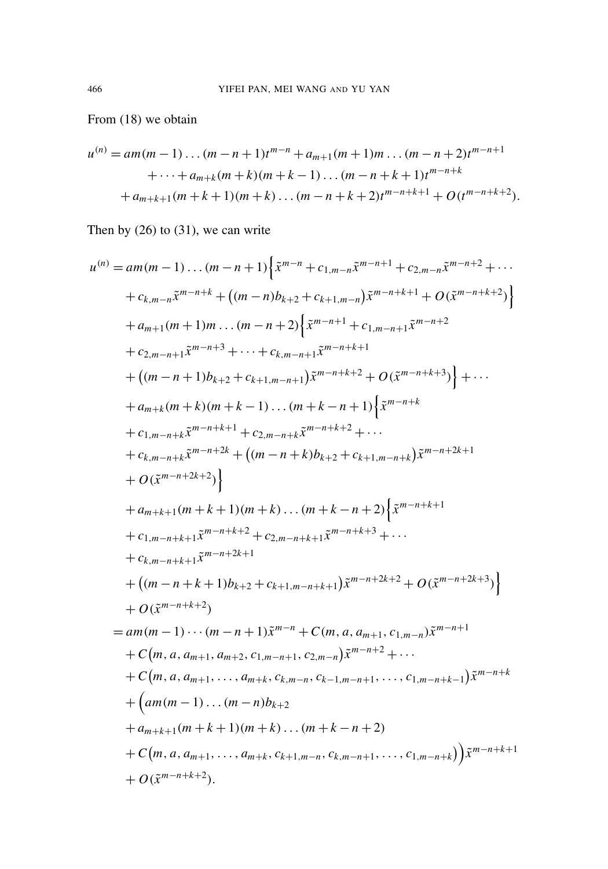From [\(18\)](#page-9-2) we obtain

$$
u^{(n)} = am(m-1)...(m-n+1)t^{m-n} + a_{m+1}(m+1)m)...(m-n+2)t^{m-n+1}
$$
  
 
$$
+...+a_{m+k}(m+k)(m+k-1)...(m-n+k+1)t^{m-n+k}
$$
  
 
$$
+a_{m+k+1}(m+k+1)(m+k)...(m-n+k+2)t^{m-n+k+1} + O(t^{m-n+k+2}).
$$

Then by [\(26\)](#page-13-0) to [\(31\),](#page-13-1) we can write

$$
u^{(n)} = am(m-1)...(m-n+1)\left\{\tilde{x}^{m-n} + c_{1,m-n}\tilde{x}^{m-n+1} + c_{2,m-n}\tilde{x}^{m-n+2} + \cdots + c_{k,m-n}\tilde{x}^{m-n+k} + ((m-n)b_{k+2} + c_{k+1,m-n})\tilde{x}^{m-n+k+1} + O(\tilde{x}^{m-n+k+2})\right\}
$$
  
+  $a_{m+1}(m+1)m...(m-n+2)\left\{\tilde{x}^{m-n+1} + c_{1,m-n+1}\tilde{x}^{m-n+2} + c_{2,m-n+1}\tilde{x}^{m-n+3} + \cdots + c_{k,m-n+1}\tilde{x}^{m-n+k+1} + ((m-n+1)b_{k+2} + c_{k+1,m-n+1})\tilde{x}^{m-n+k+2} + O(\tilde{x}^{m-n+k+3})\right\} + \cdots$   
+  $a_{m+k}(m+k)(m+k-1)...(m+k-n+1)\left\{\tilde{x}^{m-n+k+3} + c_{1,m-n+k}\tilde{x}^{m-n+k+1} + c_{2,m-n+k}\tilde{x}^{m-n+k+2} + \cdots + c_{k,m-n+k}\tilde{x}^{m-n+2k+2} + ((m-n+k)b_{k+2} + c_{k+1,m-n+k})\tilde{x}^{m-n+2k+1} + O(\tilde{x}^{m-n+2k+2})\right\}$   
+  $a_{m+k+1}(m+k+1)(m+k)...(m+k-n+2)\left\{\tilde{x}^{m-n+k+1} + c_{1,m-n+k+1}\tilde{x}^{m-n+k+2} + c_{2,m-n+k+1}\tilde{x}^{m-n+k+3} + \cdots + c_{k,m-n+k+1}\tilde{x}^{m-n+2k+1} + ((m-n+k+1)b_{k+2} + c_{k+1,m-n+k+1})\tilde{x}^{m-n+2k+2} + O(\tilde{x}^{m-n+2k+3})\right\} + O(\tilde{x}^{m-n+k+2})$   
=  $am(m-1)...(m-n+1)\tilde{x}^{m-n} + C(m, a, a_{m+1}, c_{1,m-n})\tilde{x}^{m-n+1} + C(m, a, a_{m+1}, a_{m+2}, c_{1,m-n+1}, c_{2,m-n})\tilde{x}^{m-n+2} + \cdots + C(m, a, a_{m+1}, ..., a_{m+k}, c_{k,m-n}, c_{k-$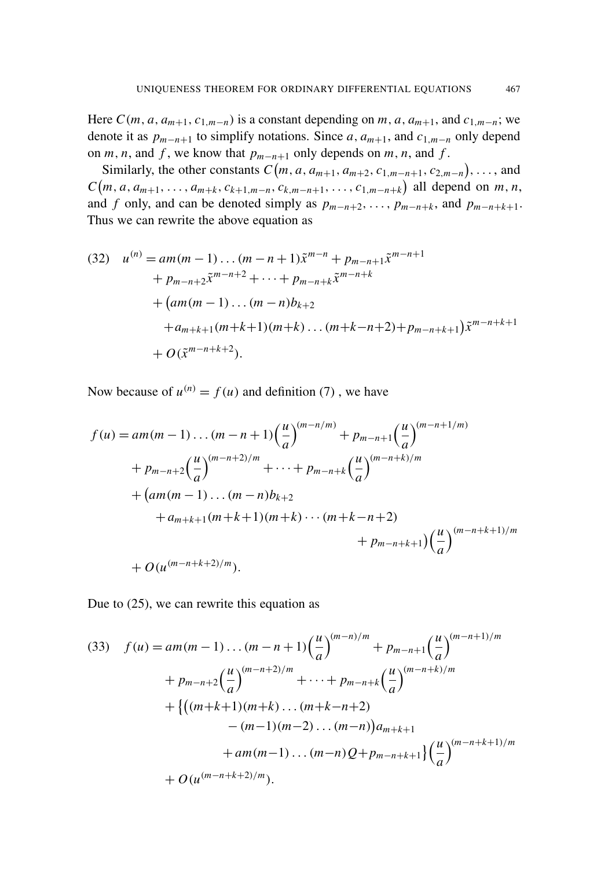Here  $C(m, a, a_{m+1}, c_{1,m-n})$  is a constant depending on *m*, *a*,  $a_{m+1}$ , and  $c_{1,m-n}$ ; we denote it as  $p_{m-n+1}$  to simplify notations. Since *a*,  $a_{m+1}$ , and  $c_{1,m-n}$  only depend on *m*, *n*, and *f*, we know that  $p_{m-n+1}$  only depends on *m*, *n*, and *f*.

Similarly, the other constants  $C(m, a, a_{m+1}, a_{m+2}, c_{1,m-n+1}, c_{2,m-n}), \ldots$ , and  $C(m, a, a_{m+1}, \ldots, a_{m+k}, c_{k+1,m-n}, c_{k,m-n+1}, \ldots, c_{1,m-n+k})$  all depend on  $m, n$ , and *f* only, and can be denoted simply as  $p_{m-n+2}, \ldots, p_{m-n+k}$ , and  $p_{m-n+k+1}$ . Thus we can rewrite the above equation as

(32) 
$$
u^{(n)} = am(m-1)...(m-n+1)\tilde{x}^{m-n} + p_{m-n+1}\tilde{x}^{m-n+1} + p_{m-n+2}\tilde{x}^{m-n+2} + ... + p_{m-n+k}\tilde{x}^{m-n+k} + (am(m-1)...(m-n)b_{k+2} + a_{m+k+1}(m+k+1)(m+k)...(m+k-n+2) + p_{m-n+k+1})\tilde{x}^{m-n+k+1} + O(\tilde{x}^{m-n+k+2}).
$$

Now because of  $u^{(n)} = f(u)$  and definition [\(7\)](#page-5-2), we have

$$
f(u) = am(m - 1) \dots (m - n + 1) \left(\frac{u}{a}\right)^{(m - n/m)} + p_{m - n + 1} \left(\frac{u}{a}\right)^{(m - n + 1/m)}
$$
  
+ 
$$
p_{m - n + 2} \left(\frac{u}{a}\right)^{(m - n + 2)/m} + \dots + p_{m - n + k} \left(\frac{u}{a}\right)^{(m - n + k)/m}
$$
  
+ 
$$
(am(m - 1) \dots (m - n)b_{k+2}
$$
  
+ 
$$
a_{m + k + 1}(m + k + 1)(m + k) \dots (m + k - n + 2)
$$
  
+ 
$$
p_{m - n + k + 1} \left(\frac{u}{a}\right)^{(m - n + k + 1)/m}
$$
  
+ 
$$
O(u^{(m - n + k + 2)/m}).
$$

<span id="page-15-0"></span>Due to [\(25\),](#page-12-1) we can rewrite this equation as

(33) 
$$
f(u) = am(m-1)...(m-n+1)\left(\frac{u}{a}\right)^{(m-n)/m} + p_{m-n+1}\left(\frac{u}{a}\right)^{(m-n+1)/m} + p_{m-n+2}\left(\frac{u}{a}\right)^{(m-n+2)/m} + \cdots + p_{m-n+k}\left(\frac{u}{a}\right)^{(m-n+k)/m} + \left\{ \left((m+k+1)(m+k)...(m+k-n+2) - (m-1)(m-2)...(m-n)\right) a_{m+k+1} + am(m-1)...(m-n) Q + p_{m-n+k+1} \right\} \left(\frac{u}{a}\right)^{(m-n+k+1)/m} + O(u^{(m-n+k+2)/m}).
$$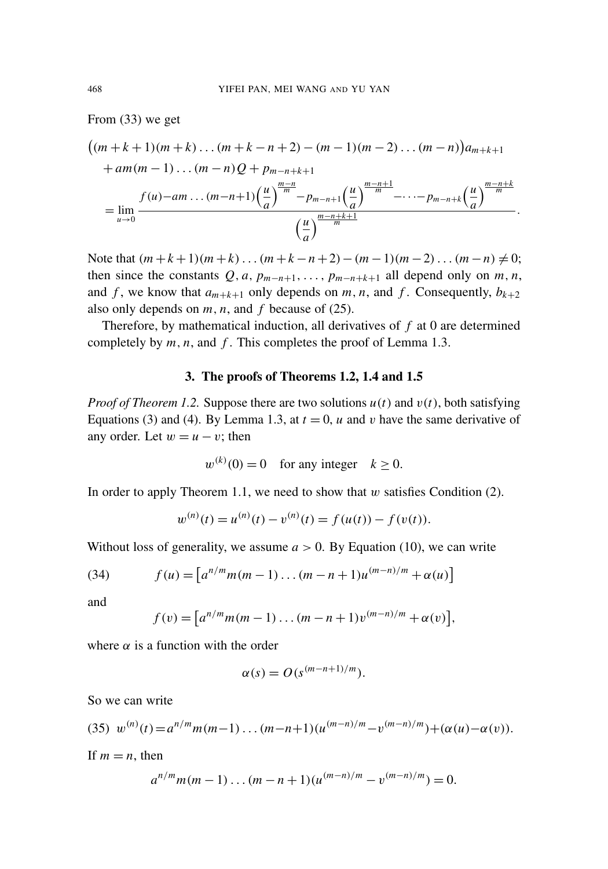From [\(33\)](#page-15-0) we get

$$
\left((m+k+1)(m+k)...(m+k-n+2)-(m-1)(m-2)...(m-n)\right)a_{m+k+1} + am(m-1)...(m-n)Q + p_{m-n+k+1}
$$
  
= 
$$
\lim_{u \to 0} \frac{f(u)-am...(m-n+1)\left(\frac{u}{a}\right)^{\frac{m-n}{m}} - p_{m-n+1}\left(\frac{u}{a}\right)^{\frac{m-n+1}{m}} - \dots - p_{m-n+k}\left(\frac{u}{a}\right)^{\frac{m-n+k}{m}}}{\left(\frac{u}{a}\right)^{\frac{m-n+k+1}{m}}}.
$$

Note that  $(m+k+1)(m+k)...(m+k-n+2)-(m-1)(m-2)...(m-n) \neq 0;$ then since the constants  $Q$ , *a*,  $p_{m-n+1}$ , ...,  $p_{m-n+k+1}$  all depend only on *m*, *n*, and *f*, we know that  $a_{m+k+1}$  only depends on *m*, *n*, and *f*. Consequently,  $b_{k+2}$ also only depends on *m*, *n*, and *f* because of [\(25\).](#page-12-1)

Therefore, by mathematical induction, all derivatives of *f* at 0 are determined completely by *m*, *n*, and *f* . This completes the proof of [Lemma 1.3.](#page-3-3)

#### 3. The proofs of Theorems [1.2,](#page-3-0) [1.4](#page-3-4) and [1.5](#page-4-0)

<span id="page-16-0"></span>*Proof of [Theorem 1.2.](#page-3-0)* Suppose there are two solutions  $u(t)$  and  $v(t)$ , both satisfying Equations [\(3\)](#page-3-1) and [\(4\).](#page-3-2) By [Lemma 1.3,](#page-3-3) at  $t = 0$ , *u* and *v* have the same derivative of any order. Let  $w = u - v$ ; then

$$
w^{(k)}(0) = 0 \quad \text{for any integer} \quad k \ge 0.
$$

In order to apply [Theorem 1.1,](#page-2-2) we need to show that  $w$  satisfies Condition [\(2\).](#page-2-1)

$$
w^{(n)}(t) = u^{(n)}(t) - v^{(n)}(t) = f(u(t)) - f(v(t)).
$$

Without loss of generality, we assume  $a > 0$ . By [Equation \(10\),](#page-6-2) we can write

(34) 
$$
f(u) = [a^{n/m}m(m-1)...(m-n+1)u^{(m-n)/m} + \alpha(u)]
$$

and

$$
f(v) = [a^{n/m}m(m-1)...(m-n+1)v^{(m-n)/m} + \alpha(v)],
$$

where  $\alpha$  is a function with the order

<span id="page-16-2"></span><span id="page-16-1"></span>
$$
\alpha(s) = O(s^{(m-n+1)/m}).
$$

So we can write

(35) 
$$
w^{(n)}(t) = a^{n/m} m(m-1)...(m-n+1)(u^{(m-n)/m} - v^{(m-n)/m}) + (\alpha(u) - \alpha(v)).
$$

If  $m = n$ , then

$$
a^{n/m}m(m-1)...(m-n+1)(u^{(m-n)/m}-v^{(m-n)/m})=0.
$$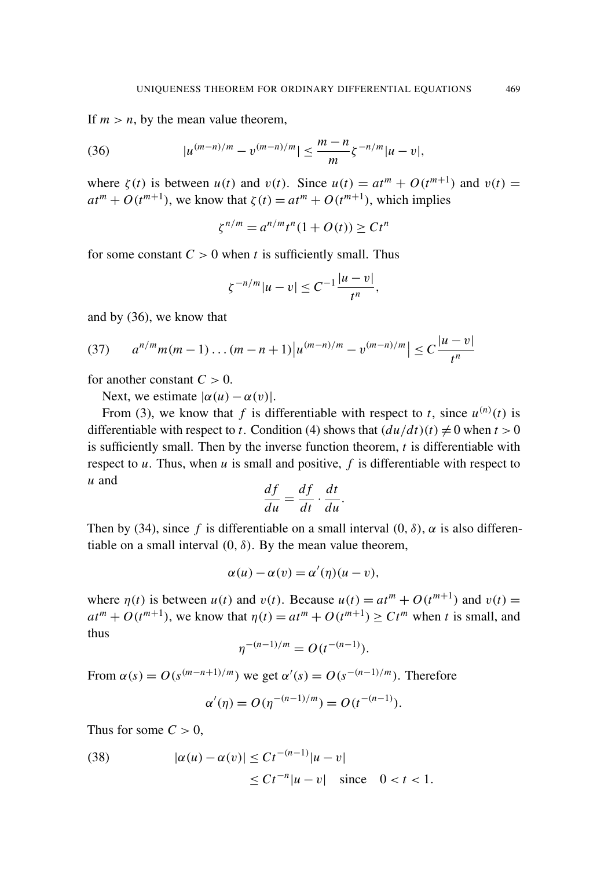If  $m > n$ , by the mean value theorem,

(36) 
$$
|u^{(m-n)/m}-v^{(m-n)/m}| \leq \frac{m-n}{m} \zeta^{-n/m} |u-v|,
$$

where  $\zeta(t)$  is between  $u(t)$  and  $v(t)$ . Since  $u(t) = at^m + O(t^{m+1})$  and  $v(t) =$  $at^m + O(t^{m+1})$ , we know that  $\zeta(t) = at^m + O(t^{m+1})$ , which implies

<span id="page-17-0"></span>
$$
\zeta^{n/m} = a^{n/m} t^n (1 + O(t)) \ge C t^n
$$

for some constant  $C > 0$  when *t* is sufficiently small. Thus

<span id="page-17-1"></span>
$$
\zeta^{-n/m}|u-v|\leq C^{-1}\frac{|u-v|}{t^n},
$$

and by [\(36\),](#page-17-0) we know that

$$
(37) \qquad a^{n/m}m(m-1)\dots(m-n+1)\big|u^{(m-n)/m}-v^{(m-n)/m}\big| \leq C\frac{|u-v|}{t^n}
$$

for another constant  $C > 0$ .

Next, we estimate  $|\alpha(u) - \alpha(v)|$ .

From [\(3\),](#page-3-1) we know that f is differentiable with respect to t, since  $u^{(n)}(t)$  is differentiable with respect to *t*. Condition [\(4\)](#page-3-2) shows that  $(du/dt)(t) \neq 0$  when  $t > 0$ is sufficiently small. Then by the inverse function theorem, *t* is differentiable with respect to  $u$ . Thus, when  $u$  is small and positive,  $f$  is differentiable with respect to  $u$  and  $df$ 

$$
\frac{df}{du} = \frac{df}{dt} \cdot \frac{dt}{du}.
$$

Then by [\(34\),](#page-16-1) since f is differentiable on a small interval  $(0, \delta)$ ,  $\alpha$  is also differentiable on a small interval  $(0, \delta)$ . By the mean value theorem,

$$
\alpha(u) - \alpha(v) = \alpha'(\eta)(u - v),
$$

where  $\eta(t)$  is between  $u(t)$  and  $v(t)$ . Because  $u(t) = at^m + O(t^{m+1})$  and  $v(t) =$  $at^m + O(t^{m+1})$ , we know that  $\eta(t) = at^m + O(t^{m+1}) \ge Ct^m$  when *t* is small, and thus

$$
\eta^{-(n-1)/m} = O(t^{-(n-1)}).
$$

From  $\alpha(s) = O(s^{(m-n+1)/m})$  we get  $\alpha'(s) = O(s^{-(n-1)/m})$ . Therefore

<span id="page-17-2"></span>
$$
\alpha'(\eta) = O(\eta^{-(n-1)/m}) = O(t^{-(n-1)}).
$$

Thus for some  $C > 0$ ,

(38) 
$$
|\alpha(u) - \alpha(v)| \leq Ct^{-(n-1)}|u - v| \leq Ct^{-n}|u - v| \text{ since } 0 < t < 1.
$$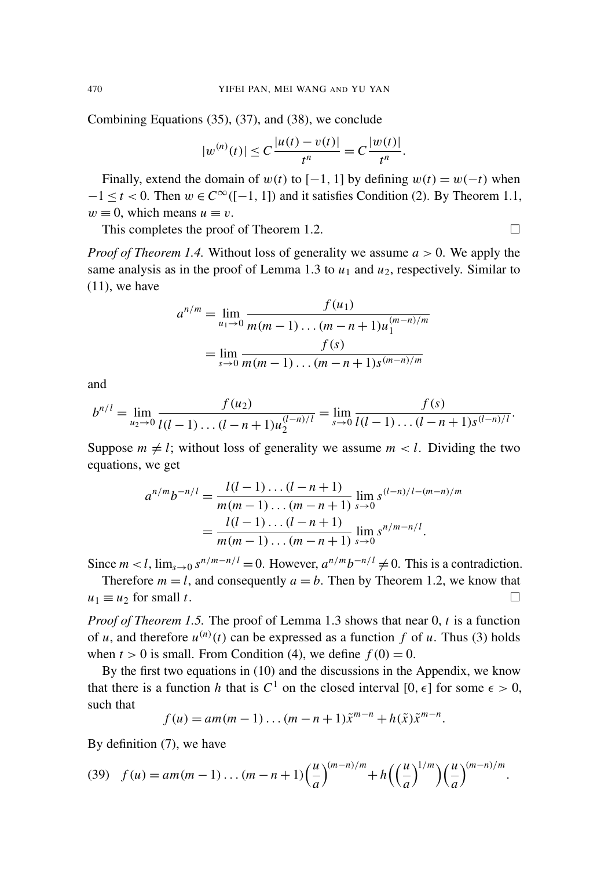Combining Equations [\(35\),](#page-16-2) [\(37\),](#page-17-1) and [\(38\),](#page-17-2) we conclude

$$
|w^{(n)}(t)| \leq C \frac{|u(t) - v(t)|}{t^n} = C \frac{|w(t)|}{t^n}.
$$

Finally, extend the domain of  $w(t)$  to  $[-1, 1]$  by defining  $w(t) = w(-t)$  when  $-1 \le t < 0$ . Then  $w \in C^{\infty}([-1, 1])$  and it satisfies Condition [\(2\).](#page-2-1) By [Theorem 1.1,](#page-2-2)  $w \equiv 0$ , which means  $u \equiv v$ .

This completes the proof of [Theorem 1.2.](#page-3-0)  $\Box$ 

*Proof of [Theorem 1.4.](#page-3-4)* Without loss of generality we assume *a* > 0. We apply the same analysis as in the proof of [Lemma 1.3](#page-3-3) to  $u_1$  and  $u_2$ , respectively. Similar to  $(11)$ , we have

$$
a^{n/m} = \lim_{u_1 \to 0} \frac{f(u_1)}{m(m-1)\dots(m-n+1)u_1^{(m-n)/m}}
$$
  
= 
$$
\lim_{s \to 0} \frac{f(s)}{m(m-1)\dots(m-n+1)s^{(m-n)/m}}
$$

and

$$
b^{n/l} = \lim_{u_2 \to 0} \frac{f(u_2)}{l(l-1)\dots(l-n+1)u_2^{(l-n)/l}} = \lim_{s \to 0} \frac{f(s)}{l(l-1)\dots(l-n+1)s^{(l-n)/l}}.
$$

Suppose  $m \neq l$ ; without loss of generality we assume  $m < l$ . Dividing the two equations, we get

$$
a^{n/m}b^{-n/l} = \frac{l(l-1)\dots(l-n+1)}{m(m-1)\dots(m-n+1)}\lim_{s\to 0}s^{(l-n)/l-(m-n)/m}
$$
  
= 
$$
\frac{l(l-1)\dots(l-n+1)}{m(m-1)\dots(m-n+1)}\lim_{s\to 0}s^{n/m-n/l}.
$$

Since  $m < l$ ,  $\lim_{s\to 0} s^{n/m-n/l} = 0$ . However,  $a^{n/m}b^{-n/l} \neq 0$ . This is a contradiction.

Therefore  $m = l$ , and consequently  $a = b$ . Then by [Theorem 1.2,](#page-3-0) we know that  $u_1 \equiv u_2$  for small *t*.

*Proof of [Theorem 1.5.](#page-4-0)* The proof of [Lemma 1.3](#page-3-3) shows that near 0, *t* is a function of *u*, and therefore  $u^{(n)}(t)$  can be expressed as a function f of *u*. Thus [\(3\)](#page-3-1) holds when  $t > 0$  is small. From Condition [\(4\),](#page-3-2) we define  $f(0) = 0$ .

By the first two equations in [\(10\)](#page-6-2) and the discussions in the [Appendix,](#page-19-0) we know that there is a function *h* that is  $C^1$  on the closed interval [0,  $\epsilon$ ] for some  $\epsilon > 0$ , such that

<span id="page-18-0"></span>
$$
f(u) = am(m-1)...(m-n+1)\tilde{x}^{m-n} + h(\tilde{x})\tilde{x}^{m-n}.
$$

By definition [\(7\),](#page-5-2) we have

(39) 
$$
f(u) = am(m-1)...(m-n+1)\left(\frac{u}{a}\right)^{(m-n)/m} + h\left(\left(\frac{u}{a}\right)^{1/m}\right)\left(\frac{u}{a}\right)^{(m-n)/m}
$$

.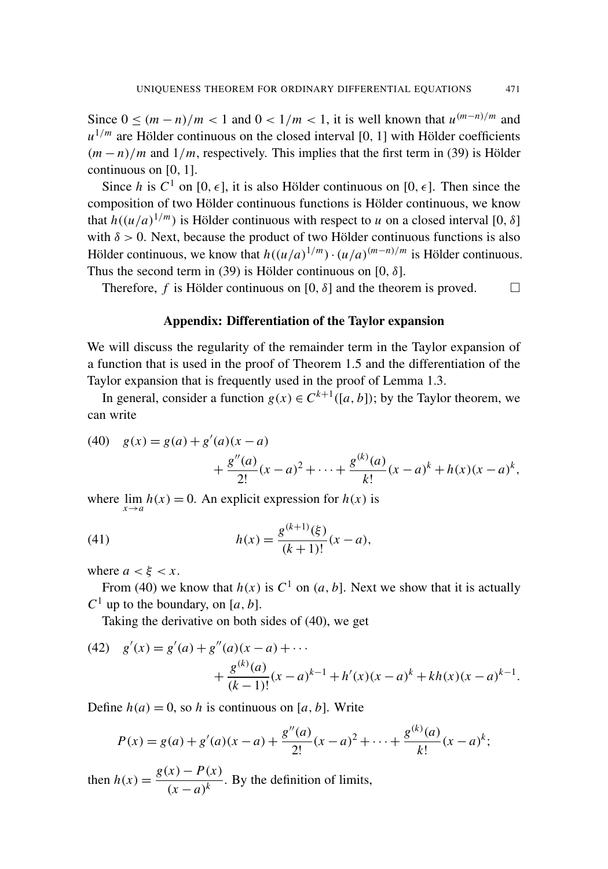Since  $0 \le (m - n)/m < 1$  and  $0 < 1/m < 1$ , it is well known that  $u^{(m-n)/m}$  and  $u^{1/m}$  are Hölder continuous on the closed interval [0, 1] with Hölder coefficients  $(m - n)/m$  and  $1/m$ , respectively. This implies that the first term in [\(39\)](#page-18-0) is Hölder continuous on [0, 1].

Since *h* is  $C^1$  on [0,  $\epsilon$ ], it is also Hölder continuous on [0,  $\epsilon$ ]. Then since the composition of two Hölder continuous functions is Hölder continuous, we know that  $h((u/a)^{1/m})$  is Hölder continuous with respect to *u* on a closed interval [0,  $\delta$ ] with  $\delta > 0$ . Next, because the product of two Hölder continuous functions is also Hölder continuous, we know that  $h((u/a)^{1/m}) \cdot (u/a)^{(m-n)/m}$  is Hölder continuous. Thus the second term in [\(39\)](#page-18-0) is Hölder continuous on [0,  $\delta$ ].

Therefore, *f* is Hölder continuous on [0,  $\delta$ ] and the theorem is proved.  $\Box$ 

#### <span id="page-19-3"></span>Appendix: Differentiation of the Taylor expansion

<span id="page-19-0"></span>We will discuss the regularity of the remainder term in the Taylor expansion of a function that is used in the proof of [Theorem 1.5](#page-4-0) and the differentiation of the Taylor expansion that is frequently used in the proof of [Lemma 1.3.](#page-3-3)

<span id="page-19-1"></span>In general, consider a function  $g(x) \in C^{k+1}([a, b])$ ; by the Taylor theorem, we can write

(40) 
$$
g(x) = g(a) + g'(a)(x - a)
$$
  
  $+ \frac{g''(a)}{2!}(x - a)^2 + \dots + \frac{g^{(k)}(a)}{k!}(x - a)^k + h(x)(x - a)^k,$ 

where  $\lim_{x \to a} h(x) = 0$ . An explicit expression for  $h(x)$  is

(41) 
$$
h(x) = \frac{g^{(k+1)}(\xi)}{(k+1)!}(x-a),
$$

where  $a < \xi < x$ .

From [\(40\)](#page-19-1) we know that  $h(x)$  is  $C^1$  on  $(a, b]$ . Next we show that it is actually  $C^1$  up to the boundary, on [a, b].

<span id="page-19-4"></span>Taking the derivative on both sides of [\(40\),](#page-19-1) we get

(42) 
$$
g'(x) = g'(a) + g''(a)(x - a) + \cdots + \frac{g^{(k)}(a)}{(k-1)!}(x - a)^{k-1} + h'(x)(x - a)^{k} + kh(x)(x - a)^{k-1}.
$$

Define  $h(a) = 0$ , so *h* is continuous on [*a*, *b*]. Write

<span id="page-19-2"></span>
$$
P(x) = g(a) + g'(a)(x - a) + \frac{g''(a)}{2!}(x - a)^2 + \dots + \frac{g^{(k)}(a)}{k!}(x - a)^k;
$$

then  $h(x) = \frac{g(x) - P(x)}{f(x)}$  $\frac{f(x)}{(x-a)^k}$ . By the definition of limits,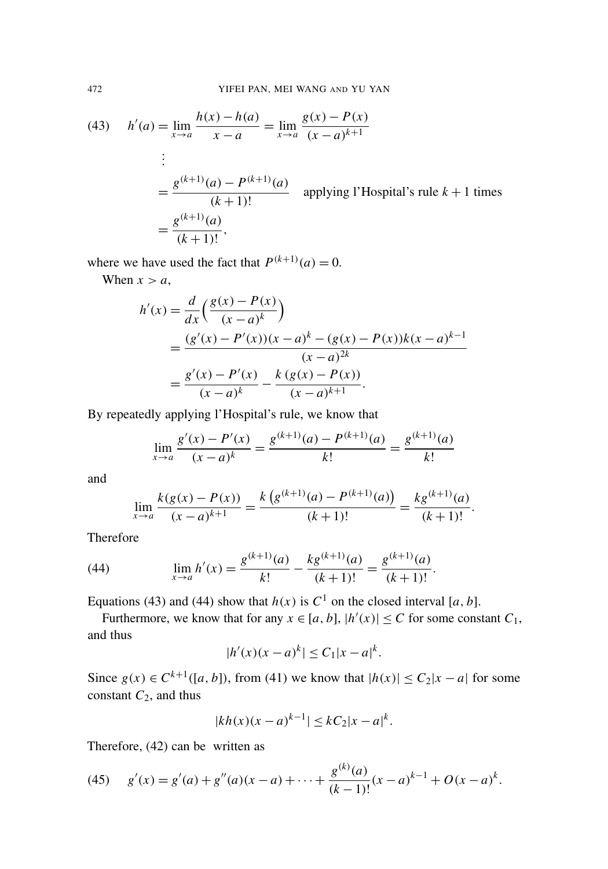(43) 
$$
h'(a) = \lim_{x \to a} \frac{h(x) - h(a)}{x - a} = \lim_{x \to a} \frac{g(x) - P(x)}{(x - a)^{k+1}}
$$
  
\n
$$
\vdots
$$
  
\n
$$
= \frac{g^{(k+1)}(a) - P^{(k+1)}(a)}{(k+1)!}
$$
 applying l'Hospital's rule  $k + 1$  times  
\n
$$
= \frac{g^{(k+1)}(a)}{(k+1)!},
$$

where we have used the fact that  $P^{(k+1)}(a) = 0$ .

When  $x > a$ ,

$$
h'(x) = \frac{d}{dx} \left( \frac{g(x) - P(x)}{(x - a)^k} \right)
$$
  
= 
$$
\frac{(g'(x) - P'(x))(x - a)^k - (g(x) - P(x))k(x - a)^{k-1}}{(x - a)^{2k}}
$$
  
= 
$$
\frac{g'(x) - P'(x)}{(x - a)^k} - \frac{k(g(x) - P(x))}{(x - a)^{k+1}}.
$$

By repeatedly applying l'Hospital's rule, we know that

$$
\lim_{x \to a} \frac{g'(x) - P'(x)}{(x - a)^k} = \frac{g^{(k+1)}(a) - P^{(k+1)}(a)}{k!} = \frac{g^{(k+1)}(a)}{k!}
$$

and

<span id="page-20-0"></span>
$$
\lim_{x \to a} \frac{k(g(x) - P(x))}{(x - a)^{k+1}} = \frac{k(g^{(k+1)}(a) - P^{(k+1)}(a))}{(k+1)!} = \frac{kg^{(k+1)}(a)}{(k+1)!}.
$$

Therefore

(44) 
$$
\lim_{x \to a} h'(x) = \frac{g^{(k+1)}(a)}{k!} - \frac{kg^{(k+1)}(a)}{(k+1)!} = \frac{g^{(k+1)}(a)}{(k+1)!}.
$$

Equations [\(43\)](#page-19-2) and [\(44\)](#page-20-0) show that  $h(x)$  is  $C<sup>1</sup>$  on the closed interval [a, b].

Furthermore, we know that for any  $x \in [a, b]$ ,  $|h'(x)| \leq C$  for some constant  $C_1$ , and thus

$$
|h'(x)(x-a)^k| \le C_1 |x-a|^k.
$$

Since  $g(x) \in C^{k+1}([a, b])$ , from [\(41\)](#page-19-3) we know that  $|h(x)| \leq C_2|x - a|$  for some constant *C*2, and thus

<span id="page-20-1"></span>
$$
|kh(x)(x-a)^{k-1}| \le kC_2|x-a|^k.
$$

Therefore, [\(42\)](#page-19-4) can be written as

(45) 
$$
g'(x) = g'(a) + g''(a)(x-a) + \cdots + \frac{g^{(k)}(a)}{(k-1)!}(x-a)^{k-1} + O(x-a)^k.
$$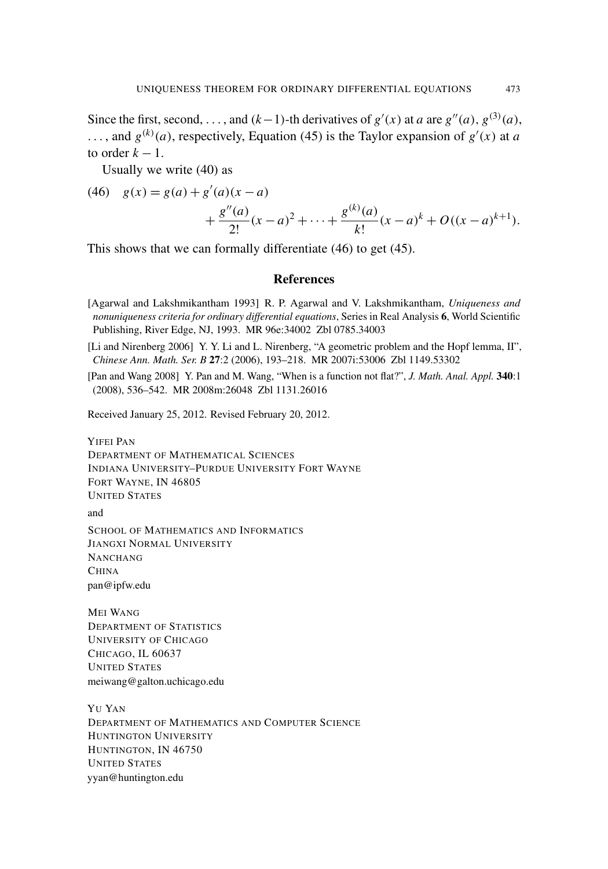Since the first, second, ..., and  $(k-1)$ -th derivatives of  $g'(x)$  at *a* are  $g''(a)$ ,  $g^{(3)}(a)$ , ..., and  $g^{(k)}(a)$ , respectively, [Equation \(45\)](#page-20-1) is the Taylor expansion of  $g'(x)$  at *a* to order  $k - 1$ .

Usually we write [\(40\)](#page-19-1) as

(46) 
$$
g(x) = g(a) + g'(a)(x - a) + \frac{g''(a)}{2!}(x - a)^2 + \dots + \frac{g^{(k)}(a)}{k!}(x - a)^k + O((x - a)^{k+1}).
$$

This shows that we can formally differentiate [\(46\)](#page-21-3) to get [\(45\).](#page-20-1)

#### <span id="page-21-3"></span>**References**

- <span id="page-21-0"></span>[Agarwal and Lakshmikantham 1993] R. P. Agarwal and V. Lakshmikantham, *Uniqueness and nonuniqueness criteria for ordinary differential equations*, Series in Real Analysis 6, World Scientific Publishing, River Edge, NJ, 1993. [MR 96e:34002](http://msp.org/idx/mr/96e:34002) [Zbl 0785.34003](http://msp.org/idx/zbl/0785.34003)
- <span id="page-21-2"></span>[Li and Nirenberg 2006] Y. Y. Li and L. Nirenberg, ["A geometric problem and the Hopf lemma, II",](http://dx.doi.org/10.1007/s11401-006-0037-3) *Chinese Ann. Math. Ser. B* 27:2 (2006), 193–218. [MR 2007i:53006](http://msp.org/idx/mr/2007i:53006) [Zbl 1149.53302](http://msp.org/idx/zbl/1149.53302)
- <span id="page-21-1"></span>[Pan and Wang 2008] Y. Pan and M. Wang, ["When is a function not flat?",](http://dx.doi.org/10.1016/j.jmaa.2007.08.044) *J. Math. Anal. Appl.* 340:1 (2008), 536–542. [MR 2008m:26048](http://msp.org/idx/mr/2008m:26048) [Zbl 1131.26016](http://msp.org/idx/zbl/1131.26016)

Received January 25, 2012. Revised February 20, 2012.

YIFEI PAN DEPARTMENT OF MATHEMATICAL SCIENCES INDIANA UNIVERSITY–PURDUE UNIVERSITY FORT WAYNE FORT WAYNE, IN 46805 UNITED STATES and SCHOOL OF MATHEMATICS AND INFORMATICS JIANGXI NORMAL UNIVERSITY NANCHANG **CHINA** [pan@ipfw.edu](mailto:pan@ipfw.edu) MEI WANG

DEPARTMENT OF STATISTICS UNIVERSITY OF CHICAGO CHICAGO, IL 60637 UNITED STATES [meiwang@galton.uchicago.edu](mailto:meiwang@galton.uchicago.edu)

YU YAN DEPARTMENT OF MATHEMATICS AND COMPUTER SCIENCE HUNTINGTON UNIVERSITY HUNTINGTON, IN 46750 UNITED STATES [yyan@huntington.edu](mailto:yyan@huntington.edu)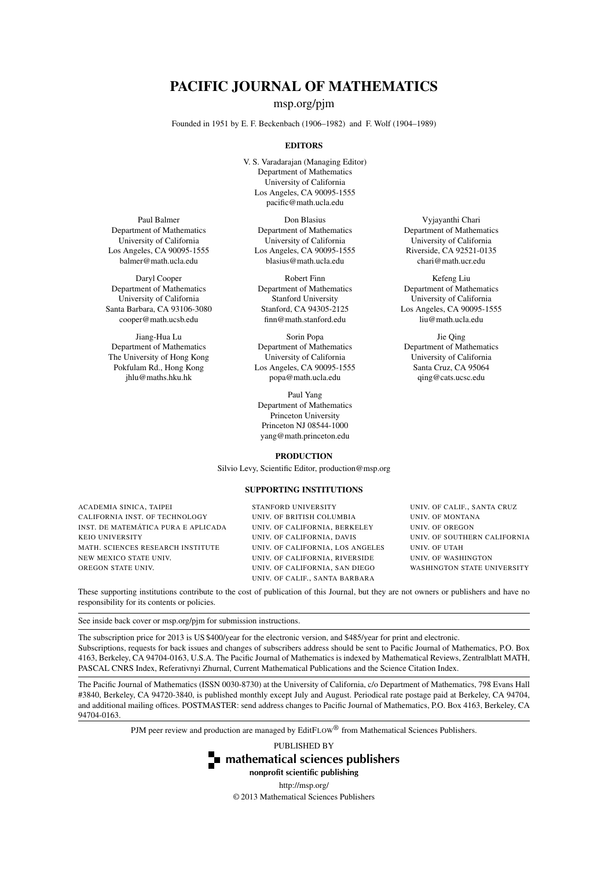## PACIFIC JOURNAL OF MATHEMATICS

[msp.org/pjm](http://msp.org/pjm/)

Founded in 1951 by E. F. Beckenbach (1906–1982) and F. Wolf (1904–1989)

#### **EDITORS**

V. S. Varadarajan (Managing Editor) Department of Mathematics University of California Los Angeles, CA 90095-1555 [pacific@math.ucla.edu](mailto:pacific@math.ucla.edu)

Paul Balmer Department of Mathematics University of California Los Angeles, CA 90095-1555 [balmer@math.ucla.edu](mailto:balmer@math.ucla.edu)

Daryl Cooper Department of Mathematics University of California Santa Barbara, CA 93106-3080 [cooper@math.ucsb.edu](mailto:cooper@math.ucsb.edu)

Jiang-Hua Lu Department of Mathematics The University of Hong Kong Pokfulam Rd., Hong Kong [jhlu@maths.hku.hk](mailto:jhlu@maths.hku.hk)

Don Blasius Department of Mathematics University of California Los Angeles, CA 90095-1555 [blasius@math.ucla.edu](mailto:blasius@math.ucla.edu)

Robert Finn Department of Mathematics Stanford University Stanford, CA 94305-2125 [finn@math.stanford.edu](mailto:finn@math.stanford.edu)

Sorin Popa Department of Mathematics University of California Los Angeles, CA 90095-1555 [popa@math.ucla.edu](mailto:popa@math.ucla.edu)

Paul Yang Department of Mathematics Princeton University Princeton NJ 08544-1000 [yang@math.princeton.edu](mailto:yang@math.princeton.edu)

#### PRODUCTION

Silvio Levy, Scientific Editor, [production@msp.org](mailto:production@msp.org)

#### SUPPORTING INSTITUTIONS

ACADEMIA SINICA, TAIPEI CALIFORNIA INST. OF TECHNOLOGY INST. DE MATEMÁTICA PURA E APLICADA KEIO UNIVERSITY MATH. SCIENCES RESEARCH INSTITUTE NEW MEXICO STATE UNIV. OREGON STATE UNIV.

STANFORD UNIVERSITY UNIV. OF BRITISH COLUMBIA UNIV. OF CALIFORNIA, BERKELEY UNIV. OF CALIFORNIA, DAVIS UNIV. OF CALIFORNIA, LOS ANGELES UNIV. OF CALIFORNIA, RIVERSIDE UNIV. OF CALIFORNIA, SAN DIEGO UNIV. OF CALIF., SANTA BARBARA

Department of Mathematics University of California Riverside, CA 92521-0135 [chari@math.ucr.edu](mailto:chari@math.ucr.edu)

Vyjayanthi Chari

Kefeng Liu Department of Mathematics University of California Los Angeles, CA 90095-1555 [liu@math.ucla.edu](mailto:liu@math.ucla.edu)

Jie Qing Department of Mathematics University of California Santa Cruz, CA 95064 [qing@cats.ucsc.edu](mailto:qing@cats.ucsc.edu)

UNIV. OF CALIF., SANTA CRUZ UNIV. OF MONTANA UNIV. OF OREGON UNIV. OF SOUTHERN CALIFORNIA UNIV. OF UTAH UNIV. OF WASHINGTON WASHINGTON STATE UNIVERSITY

These supporting institutions contribute to the cost of publication of this Journal, but they are not owners or publishers and have no responsibility for its contents or policies.

See inside back cover or [msp.org/pjm](http://msp.org/pjm/) for submission instructions.

The subscription price for 2013 is US \$400/year for the electronic version, and \$485/year for print and electronic. Subscriptions, requests for back issues and changes of subscribers address should be sent to Pacific Journal of Mathematics, P.O. Box 4163, Berkeley, CA 94704-0163, U.S.A. The Pacific Journal of Mathematics is indexed by [Mathematical Reviews,](http://www.ams.org/mathscinet) [Zentralblatt MATH,](http://www.emis.de/ZMATH/) [PASCAL CNRS Index,](http://www.inist.fr/PRODUITS/pascal.php) [Referativnyi Zhurnal,](http://www.viniti.ru/math_new.html) [Current Mathematical Publications](http://www.ams.org/bookstore-getitem/item=cmp) and the [Science Citation Index.](http://www.isinet.com/products/citation/wos/)

The Pacific Journal of Mathematics (ISSN 0030-8730) at the University of California, c/o Department of Mathematics, 798 Evans Hall #3840, Berkeley, CA 94720-3840, is published monthly except July and August. Periodical rate postage paid at Berkeley, CA 94704, and additional mailing offices. POSTMASTER: send address changes to Pacific Journal of Mathematics, P.O. Box 4163, Berkeley, CA 94704-0163.

PJM peer review and production are managed by EditFLOW® from Mathematical Sciences Publishers.

PUBLISHED BY



nonprofit scientific publishing <http://msp.org/> © 2013 Mathematical Sciences Publishers